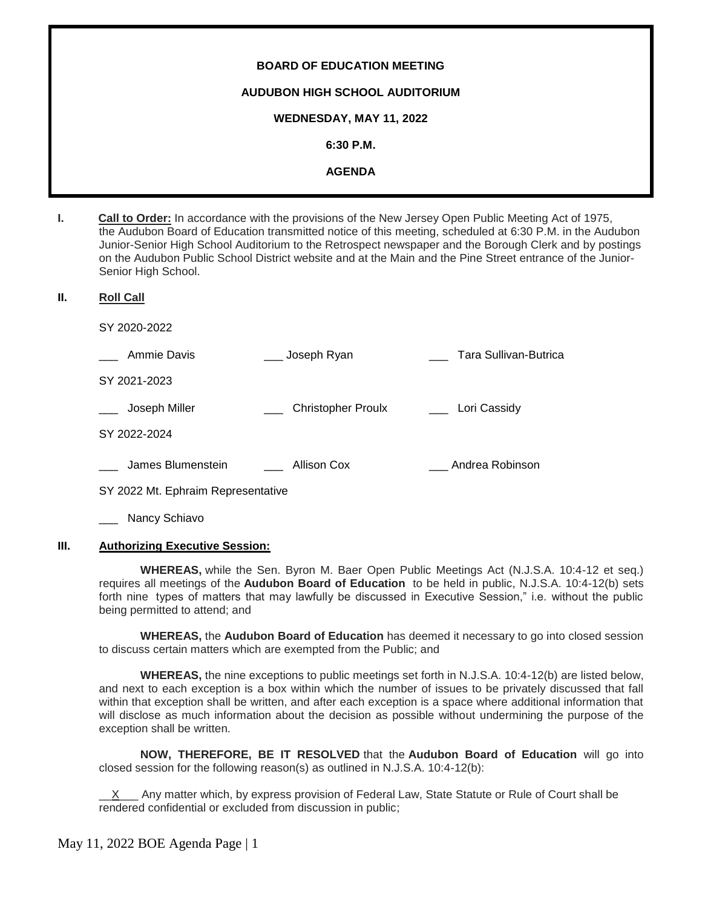# **BOARD OF EDUCATION MEETING AUDUBON HIGH SCHOOL AUDITORIUM WEDNESDAY, MAY 11, 2022 6:30 P.M. AGENDA**

**I. Call to Order:** In accordance with the provisions of the New Jersey Open Public Meeting Act of 1975, the Audubon Board of Education transmitted notice of this meeting, scheduled at 6:30 P.M. in the Audubon Junior-Senior High School Auditorium to the Retrospect newspaper and the Borough Clerk and by postings on the Audubon Public School District website and at the Main and the Pine Street entrance of the Junior-Senior High School.

#### **II. Roll Call**

SY 2020-2022

| Ammie Davis       | Joseph Ryan               | Tara Sullivan-Butrica |
|-------------------|---------------------------|-----------------------|
| SY 2021-2023      |                           |                       |
| Joseph Miller     | <b>Christopher Proulx</b> | Lori Cassidy          |
| SY 2022-2024      |                           |                       |
| James Blumenstein | Allison Cox               | Andrea Robinson       |

SY 2022 Mt. Ephraim Representative

Nancy Schiavo

# **III. Authorizing Executive Session:**

**WHEREAS,** while the Sen. Byron M. Baer Open Public Meetings Act (N.J.S.A. 10:4-12 et seq.) requires all meetings of the **Audubon Board of Education** to be held in public, N.J.S.A. 10:4-12(b) sets forth nine types of matters that may lawfully be discussed in Executive Session," i.e. without the public being permitted to attend; and

**WHEREAS,** the **Audubon Board of Education** has deemed it necessary to go into closed session to discuss certain matters which are exempted from the Public; and

**WHEREAS,** the nine exceptions to public meetings set forth in N.J.S.A. 10:4-12(b) are listed below, and next to each exception is a box within which the number of issues to be privately discussed that fall within that exception shall be written, and after each exception is a space where additional information that will disclose as much information about the decision as possible without undermining the purpose of the exception shall be written.

**NOW, THEREFORE, BE IT RESOLVED** that the **Audubon Board of Education** will go into closed session for the following reason(s) as outlined in N.J.S.A. 10:4-12(b):

Any matter which, by express provision of Federal Law, State Statute or Rule of Court shall be rendered confidential or excluded from discussion in public;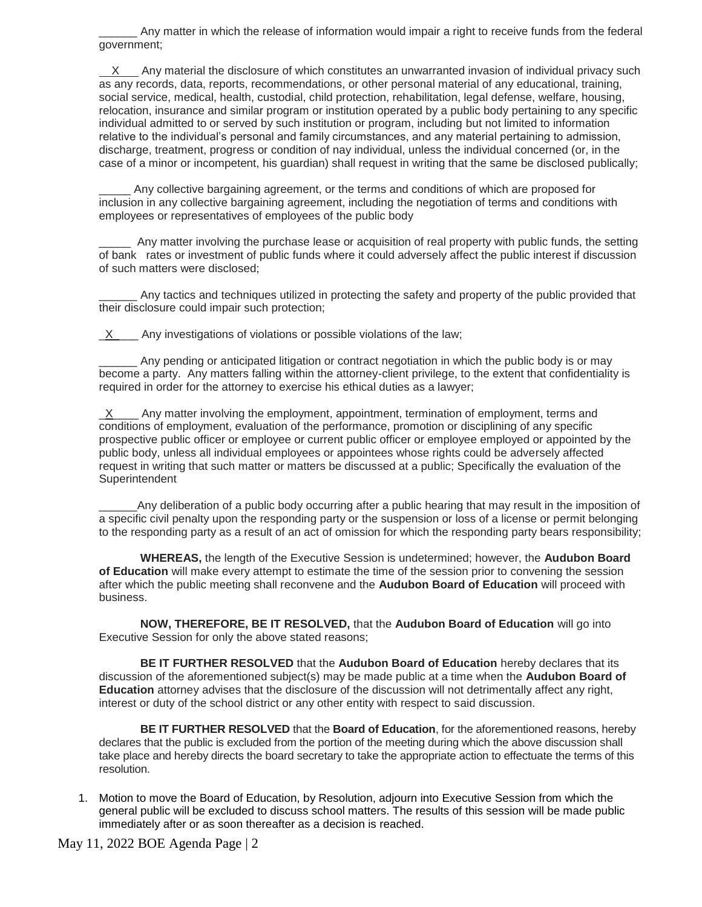Any matter in which the release of information would impair a right to receive funds from the federal government;

 X Any material the disclosure of which constitutes an unwarranted invasion of individual privacy such as any records, data, reports, recommendations, or other personal material of any educational, training, social service, medical, health, custodial, child protection, rehabilitation, legal defense, welfare, housing, relocation, insurance and similar program or institution operated by a public body pertaining to any specific individual admitted to or served by such institution or program, including but not limited to information relative to the individual's personal and family circumstances, and any material pertaining to admission, discharge, treatment, progress or condition of nay individual, unless the individual concerned (or, in the case of a minor or incompetent, his guardian) shall request in writing that the same be disclosed publically;

Any collective bargaining agreement, or the terms and conditions of which are proposed for inclusion in any collective bargaining agreement, including the negotiation of terms and conditions with employees or representatives of employees of the public body

\_\_\_\_\_ Any matter involving the purchase lease or acquisition of real property with public funds, the setting of bank rates or investment of public funds where it could adversely affect the public interest if discussion of such matters were disclosed;

Any tactics and techniques utilized in protecting the safety and property of the public provided that their disclosure could impair such protection;

 $X$  Any investigations of violations or possible violations of the law;

\_\_\_\_\_\_ Any pending or anticipated litigation or contract negotiation in which the public body is or may become a party. Any matters falling within the attorney-client privilege, to the extent that confidentiality is required in order for the attorney to exercise his ethical duties as a lawyer;

 $X$  Any matter involving the employment, appointment, termination of employment, terms and conditions of employment, evaluation of the performance, promotion or disciplining of any specific prospective public officer or employee or current public officer or employee employed or appointed by the public body, unless all individual employees or appointees whose rights could be adversely affected request in writing that such matter or matters be discussed at a public; Specifically the evaluation of the Superintendent

Any deliberation of a public body occurring after a public hearing that may result in the imposition of a specific civil penalty upon the responding party or the suspension or loss of a license or permit belonging to the responding party as a result of an act of omission for which the responding party bears responsibility;

**WHEREAS,** the length of the Executive Session is undetermined; however, the **Audubon Board of Education** will make every attempt to estimate the time of the session prior to convening the session after which the public meeting shall reconvene and the **Audubon Board of Education** will proceed with business.

**NOW, THEREFORE, BE IT RESOLVED,** that the **Audubon Board of Education** will go into Executive Session for only the above stated reasons;

**BE IT FURTHER RESOLVED** that the **Audubon Board of Education** hereby declares that its discussion of the aforementioned subject(s) may be made public at a time when the **Audubon Board of Education** attorney advises that the disclosure of the discussion will not detrimentally affect any right, interest or duty of the school district or any other entity with respect to said discussion.

**BE IT FURTHER RESOLVED** that the **Board of Education**, for the aforementioned reasons, hereby declares that the public is excluded from the portion of the meeting during which the above discussion shall take place and hereby directs the board secretary to take the appropriate action to effectuate the terms of this resolution.

1. Motion to move the Board of Education, by Resolution, adjourn into Executive Session from which the general public will be excluded to discuss school matters. The results of this session will be made public immediately after or as soon thereafter as a decision is reached.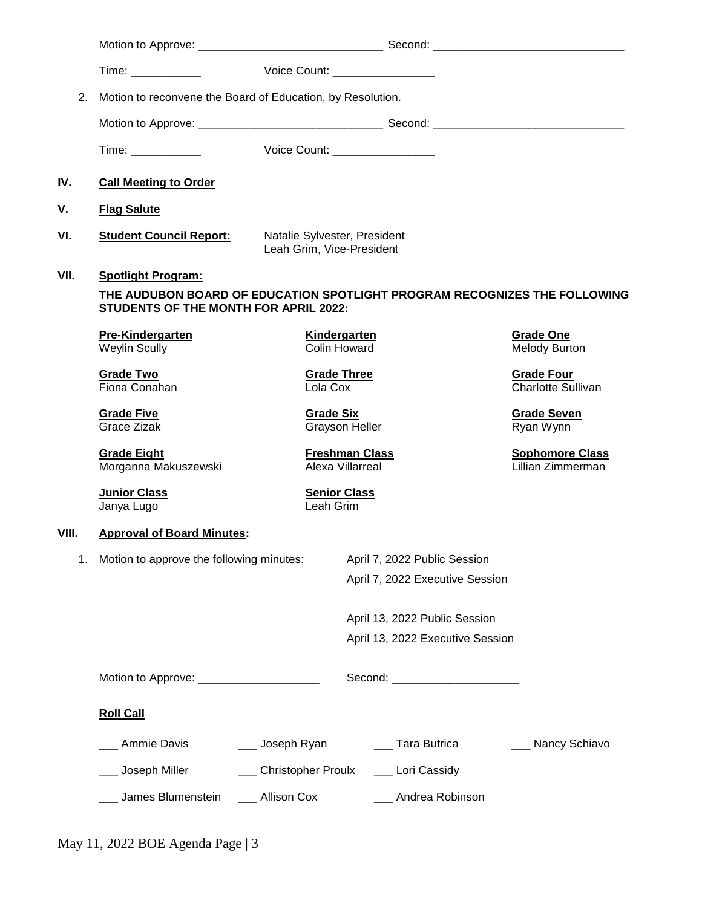|       |                                                            |                           | Voice Count: <u>_______________</u>       |                                                                           |
|-------|------------------------------------------------------------|---------------------------|-------------------------------------------|---------------------------------------------------------------------------|
| 2.    | Motion to reconvene the Board of Education, by Resolution. |                           |                                           |                                                                           |
|       |                                                            |                           |                                           |                                                                           |
|       | Time: ____________                                         |                           | Voice Count: __________________           |                                                                           |
| IV.   | <b>Call Meeting to Order</b>                               |                           |                                           |                                                                           |
| ۷.    | <b>Flag Salute</b>                                         |                           |                                           |                                                                           |
| VI.   | <b>Student Council Report:</b>                             | Leah Grim, Vice-President | Natalie Sylvester, President              |                                                                           |
| VII.  | <b>Spotlight Program:</b>                                  |                           |                                           |                                                                           |
|       | STUDENTS OF THE MONTH FOR APRIL 2022:                      |                           |                                           | THE AUDUBON BOARD OF EDUCATION SPOTLIGHT PROGRAM RECOGNIZES THE FOLLOWING |
|       | <b>Pre-Kindergarten</b><br><b>Weylin Scully</b>            |                           | Kindergarten<br><b>Colin Howard</b>       | <b>Grade One</b><br><b>Melody Burton</b>                                  |
|       | <b>Grade Two</b><br>Fiona Conahan                          | Lola Cox                  | <b>Grade Three</b>                        | <b>Grade Four</b><br>Charlotte Sullivan                                   |
|       | <b>Grade Five</b><br><b>Grace Zizak</b>                    | <b>Grade Six</b>          | <b>Grayson Heller</b>                     | <b>Grade Seven</b><br>Ryan Wynn                                           |
|       | <b>Grade Eight</b><br>Morganna Makuszewski                 |                           | <b>Freshman Class</b><br>Alexa Villarreal | <b>Sophomore Class</b><br>Lillian Zimmerman                               |
|       | <b>Junior Class</b><br>Janya Lugo                          | Leah Grim                 | <b>Senior Class</b>                       |                                                                           |
| VIII. | <b>Approval of Board Minutes:</b>                          |                           |                                           |                                                                           |
| 1.    | Motion to approve the following minutes:                   |                           | April 7, 2022 Public Session              |                                                                           |
|       |                                                            |                           | April 7, 2022 Executive Session           |                                                                           |
|       |                                                            |                           | April 13, 2022 Public Session             |                                                                           |
|       |                                                            |                           | April 13, 2022 Executive Session          |                                                                           |
|       | Motion to Approve: ________________________                |                           | Second: ______________________            |                                                                           |
|       | <b>Roll Call</b>                                           |                           |                                           |                                                                           |
|       | Ammie Davis                                                | ___ Joseph Ryan           | __ Tara Butrica                           | ___ Nancy Schiavo                                                         |
|       | Joseph Miller                                              | <b>Christopher Proulx</b> | __ Lori Cassidy                           |                                                                           |
|       | James Blumenstein                                          | __ Allison Cox            | Andrea Robinson                           |                                                                           |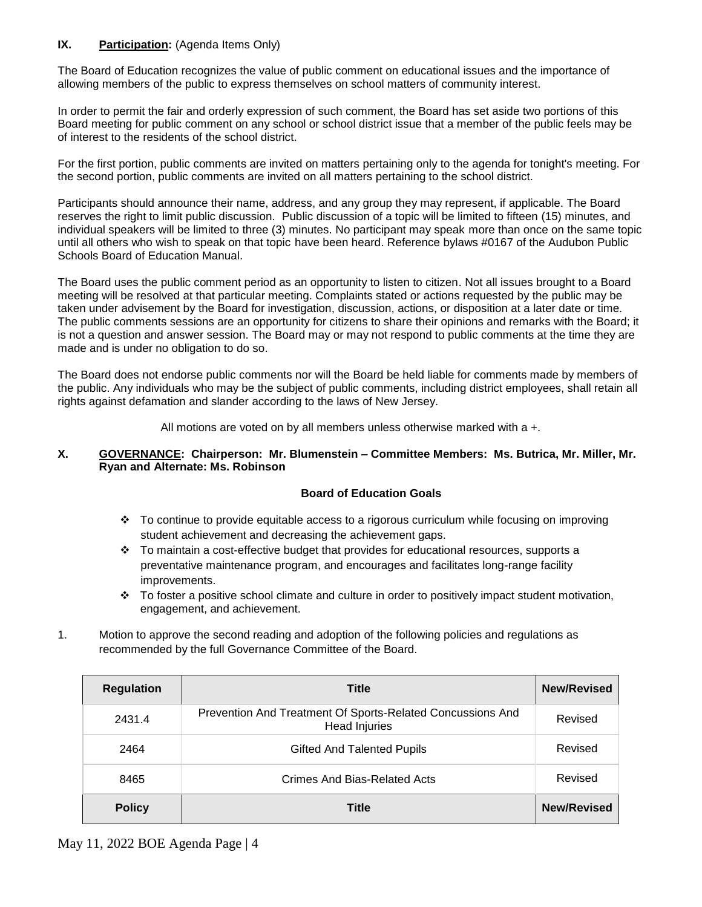# **IX. Participation:** (Agenda Items Only)

The Board of Education recognizes the value of public comment on educational issues and the importance of allowing members of the public to express themselves on school matters of community interest.

In order to permit the fair and orderly expression of such comment, the Board has set aside two portions of this Board meeting for public comment on any school or school district issue that a member of the public feels may be of interest to the residents of the school district.

For the first portion, public comments are invited on matters pertaining only to the agenda for tonight's meeting. For the second portion, public comments are invited on all matters pertaining to the school district.

Participants should announce their name, address, and any group they may represent, if applicable. The Board reserves the right to limit public discussion. Public discussion of a topic will be limited to fifteen (15) minutes, and individual speakers will be limited to three (3) minutes. No participant may speak more than once on the same topic until all others who wish to speak on that topic have been heard. Reference bylaws #0167 of the Audubon Public Schools Board of Education Manual.

The Board uses the public comment period as an opportunity to listen to citizen. Not all issues brought to a Board meeting will be resolved at that particular meeting. Complaints stated or actions requested by the public may be taken under advisement by the Board for investigation, discussion, actions, or disposition at a later date or time. The public comments sessions are an opportunity for citizens to share their opinions and remarks with the Board; it is not a question and answer session. The Board may or may not respond to public comments at the time they are made and is under no obligation to do so.

The Board does not endorse public comments nor will the Board be held liable for comments made by members of the public. Any individuals who may be the subject of public comments, including district employees, shall retain all rights against defamation and slander according to the laws of New Jersey.

All motions are voted on by all members unless otherwise marked with a +.

# **X. GOVERNANCE: Chairperson: Mr. Blumenstein – Committee Members: Ms. Butrica, Mr. Miller, Mr. Ryan and Alternate: Ms. Robinson**

# **Board of Education Goals**

- $\cdot \cdot$  To continue to provide equitable access to a rigorous curriculum while focusing on improving student achievement and decreasing the achievement gaps.
- $\div$  To maintain a cost-effective budget that provides for educational resources, supports a preventative maintenance program, and encourages and facilitates long-range facility improvements.
- $\cdot \cdot$  To foster a positive school climate and culture in order to positively impact student motivation, engagement, and achievement.
- 1. Motion to approve the second reading and adoption of the following policies and regulations as recommended by the full Governance Committee of the Board.

| <b>Regulation</b> | <b>Title</b>                                                                       | <b>New/Revised</b> |
|-------------------|------------------------------------------------------------------------------------|--------------------|
| 2431.4            | Prevention And Treatment Of Sports-Related Concussions And<br><b>Head Injuries</b> | Revised            |
| 2464              | <b>Gifted And Talented Pupils</b>                                                  | Revised            |
| 8465              | Crimes And Bias-Related Acts                                                       | Revised            |
| <b>Policy</b>     | <b>Title</b>                                                                       | <b>New/Revised</b> |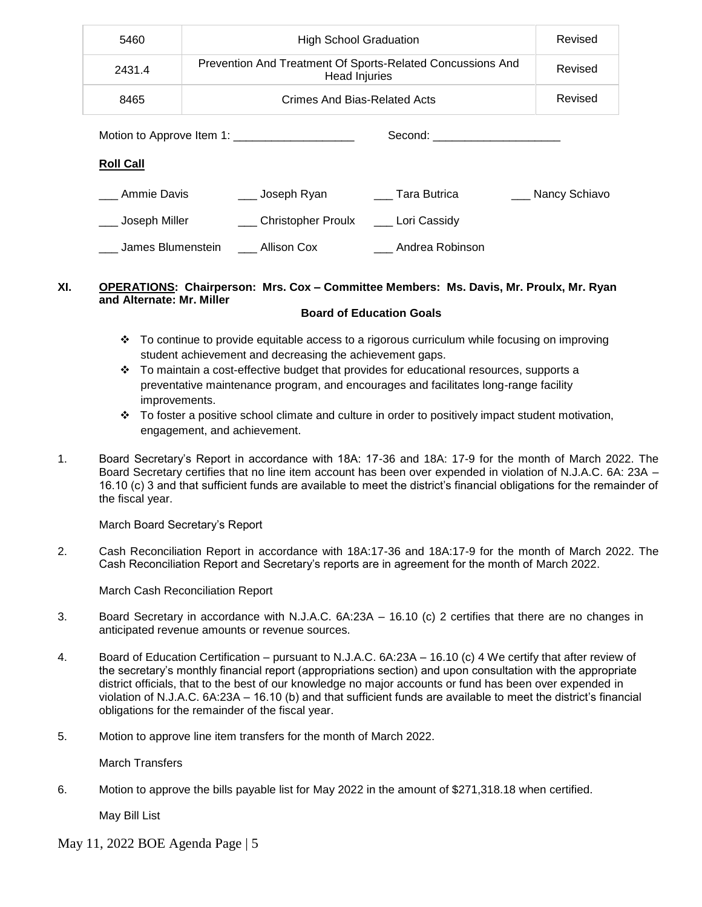| 5460              | <b>High School Graduation</b>                                                      |                                  | Revised       |
|-------------------|------------------------------------------------------------------------------------|----------------------------------|---------------|
| 2431.4            | Prevention And Treatment Of Sports-Related Concussions And<br><b>Head Injuries</b> |                                  | Revised       |
| 8465              | Crimes And Bias-Related Acts                                                       |                                  | Revised       |
|                   | Motion to Approve Item 1:                                                          | Second: ________________________ |               |
| <b>Roll Call</b>  |                                                                                    |                                  |               |
| Ammie Davis       | ___ Joseph Ryan                                                                    | Tara Butrica                     | Nancy Schiavo |
| ___ Joseph Miller | ___ Christopher Proulx ____ Lori Cassidy                                           |                                  |               |
| James Blumenstein | Allison Cox                                                                        | Andrea Robinson                  |               |

# **XI. OPERATIONS: Chairperson: Mrs. Cox – Committee Members: Ms. Davis, Mr. Proulx, Mr. Ryan and Alternate: Mr. Miller**

# **Board of Education Goals**

- To continue to provide equitable access to a rigorous curriculum while focusing on improving student achievement and decreasing the achievement gaps.
- $\div$  To maintain a cost-effective budget that provides for educational resources, supports a preventative maintenance program, and encourages and facilitates long-range facility improvements.
- To foster a positive school climate and culture in order to positively impact student motivation, engagement, and achievement.
- 1. Board Secretary's Report in accordance with 18A: 17-36 and 18A: 17-9 for the month of March 2022. The Board Secretary certifies that no line item account has been over expended in violation of N.J.A.C. 6A: 23A – 16.10 (c) 3 and that sufficient funds are available to meet the district's financial obligations for the remainder of the fiscal year.

March Board Secretary's Report

2. Cash Reconciliation Report in accordance with 18A:17-36 and 18A:17-9 for the month of March 2022. The Cash Reconciliation Report and Secretary's reports are in agreement for the month of March 2022.

March Cash Reconciliation Report

- 3.Board Secretary in accordance with N.J.A.C. 6A:23A 16.10 (c) 2 certifies that there are no changes in anticipated revenue amounts or revenue sources.
- 4. Board of Education Certification pursuant to N.J.A.C. 6A:23A 16.10 (c) 4 We certify that after review of the secretary's monthly financial report (appropriations section) and upon consultation with the appropriate district officials, that to the best of our knowledge no major accounts or fund has been over expended in violation of N.J.A.C. 6A:23A – 16.10 (b) and that sufficient funds are available to meet the district's financial obligations for the remainder of the fiscal year.
- 5. Motion to approve line item transfers for the month of March 2022.

March Transfers

6. Motion to approve the bills payable list for May 2022 in the amount of \$271,318.18 when certified.

May Bill List

May 11, 2022 BOE Agenda Page | 5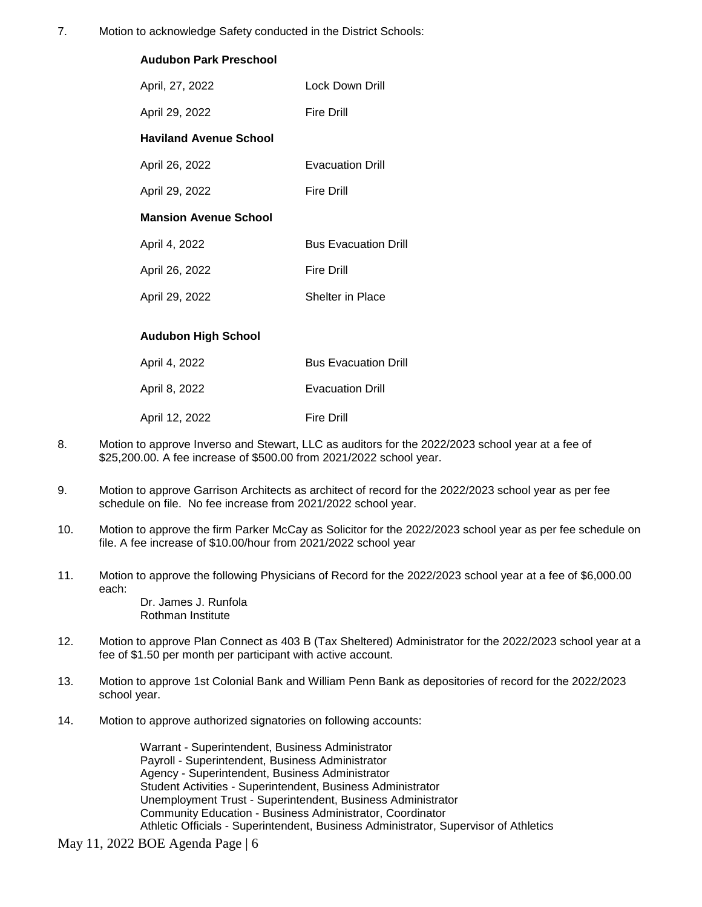7. Motion to acknowledge Safety conducted in the District Schools:

| <b>Audubon Park Preschool</b> |                             |
|-------------------------------|-----------------------------|
| April, 27, 2022               | Lock Down Drill             |
| April 29, 2022                | <b>Fire Drill</b>           |
| <b>Haviland Avenue School</b> |                             |
| April 26, 2022                | <b>Evacuation Drill</b>     |
| April 29, 2022                | <b>Fire Drill</b>           |
| <b>Mansion Avenue School</b>  |                             |
| April 4, 2022                 | <b>Bus Evacuation Drill</b> |
| April 26, 2022                | <b>Fire Drill</b>           |
| April 29, 2022                | <b>Shelter in Place</b>     |
|                               |                             |
| <b>Audubon High School</b>    |                             |
| April 4, 2022                 | <b>Bus Evacuation Drill</b> |
| April 8, 2022                 | <b>Evacuation Drill</b>     |

| April 12, 2022 | <b>Fire Drill</b> |
|----------------|-------------------|

- 8. Motion to approve Inverso and Stewart, LLC as auditors for the 2022/2023 school year at a fee of \$25,200.00. A fee increase of \$500.00 from 2021/2022 school year.
- 9. Motion to approve Garrison Architects as architect of record for the 2022/2023 school year as per fee schedule on file. No fee increase from 2021/2022 school year.
- 10. Motion to approve the firm Parker McCay as Solicitor for the 2022/2023 school year as per fee schedule on file. A fee increase of \$10.00/hour from 2021/2022 school year
- 11. Motion to approve the following Physicians of Record for the 2022/2023 school year at a fee of \$6,000.00 each:

Dr. James J. Runfola Rothman Institute

- 12. Motion to approve Plan Connect as 403 B (Tax Sheltered) Administrator for the 2022/2023 school year at a fee of \$1.50 per month per participant with active account.
- 13. Motion to approve 1st Colonial Bank and William Penn Bank as depositories of record for the 2022/2023 school year.
- 14. Motion to approve authorized signatories on following accounts:

Warrant - Superintendent, Business Administrator Payroll - Superintendent, Business Administrator Agency - Superintendent, Business Administrator Student Activities - Superintendent, Business Administrator Unemployment Trust - Superintendent, Business Administrator Community Education - Business Administrator, Coordinator Athletic Officials - Superintendent, Business Administrator, Supervisor of Athletics

May 11, 2022 BOE Agenda Page | 6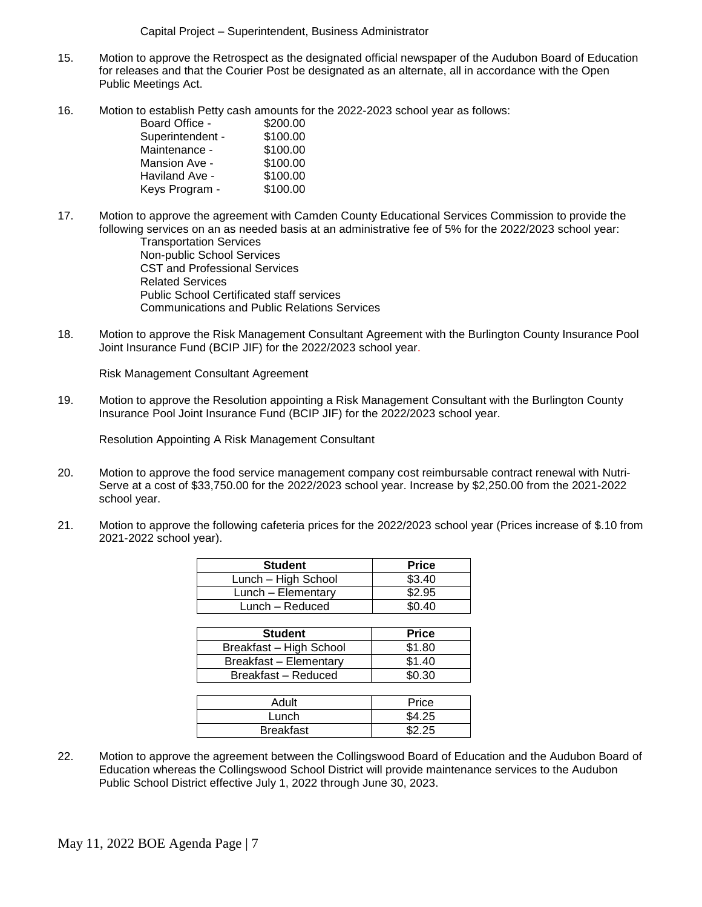Capital Project – Superintendent, Business Administrator

- 15. Motion to approve the Retrospect as the designated official newspaper of the Audubon Board of Education for releases and that the Courier Post be designated as an alternate, all in accordance with the Open Public Meetings Act.
- 16. Motion to establish Petty cash amounts for the 2022-2023 school year as follows:

| Board Office -   | \$200.00 |
|------------------|----------|
| Superintendent - | \$100.00 |
| Maintenance -    | \$100.00 |
| Mansion Ave -    | \$100.00 |
| Haviland Ave -   | \$100.00 |
| Keys Program -   | \$100.00 |

17. Motion to approve the agreement with Camden County Educational Services Commission to provide the following services on an as needed basis at an administrative fee of 5% for the 2022/2023 school year:

Transportation Services Non-public School Services CST and Professional Services Related Services Public School Certificated staff services Communications and Public Relations Services

18. Motion to approve the Risk Management Consultant Agreement with the Burlington County Insurance Pool Joint Insurance Fund (BCIP JIF) for the 2022/2023 school year.

Risk Management Consultant Agreement

19. Motion to approve the Resolution appointing a Risk Management Consultant with the Burlington County Insurance Pool Joint Insurance Fund (BCIP JIF) for the 2022/2023 school year.

Resolution Appointing A Risk Management Consultant

- 20. Motion to approve the food service management company cost reimbursable contract renewal with Nutri-Serve at a cost of \$33,750.00 for the 2022/2023 school year. Increase by \$2,250.00 from the 2021-2022 school year.
- 21. Motion to approve the following cafeteria prices for the 2022/2023 school year (Prices increase of \$.10 from 2021-2022 school year).

| <b>Student</b>      | <b>Price</b> |
|---------------------|--------------|
| Lunch - High School | \$3.40       |
| Lunch - Elementary  | \$2.95       |
| Lunch - Reduced     | ደበ 4በ        |
|                     |              |

| <b>Student</b>                | <b>Price</b> |
|-------------------------------|--------------|
| Breakfast - High School       | \$1.80       |
| <b>Breakfast - Elementary</b> | \$1.40       |
| Breakfast - Reduced           | \$0.30       |

| Adult            | Price  |
|------------------|--------|
| Lunch            | \$4.25 |
| <b>Breakfast</b> | ድኃ ኃድ  |

22. Motion to approve the agreement between the Collingswood Board of Education and the Audubon Board of Education whereas the Collingswood School District will provide maintenance services to the Audubon Public School District effective July 1, 2022 through June 30, 2023.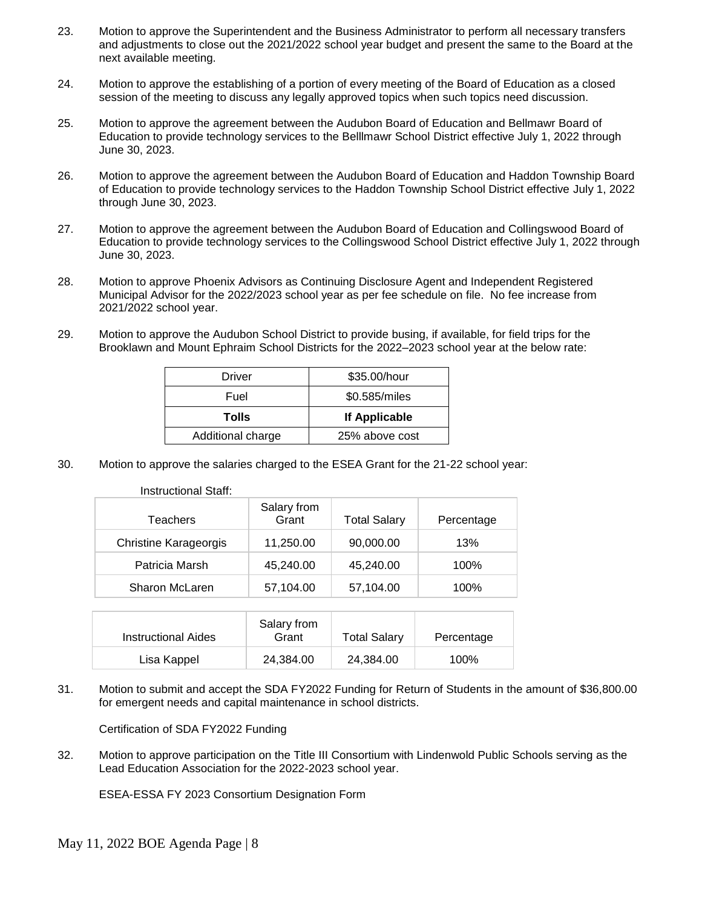- 23. Motion to approve the Superintendent and the Business Administrator to perform all necessary transfers and adjustments to close out the 2021/2022 school year budget and present the same to the Board at the next available meeting.
- 24. Motion to approve the establishing of a portion of every meeting of the Board of Education as a closed session of the meeting to discuss any legally approved topics when such topics need discussion.
- 25. Motion to approve the agreement between the Audubon Board of Education and Bellmawr Board of Education to provide technology services to the Belllmawr School District effective July 1, 2022 through June 30, 2023.
- 26. Motion to approve the agreement between the Audubon Board of Education and Haddon Township Board of Education to provide technology services to the Haddon Township School District effective July 1, 2022 through June 30, 2023.
- 27. Motion to approve the agreement between the Audubon Board of Education and Collingswood Board of Education to provide technology services to the Collingswood School District effective July 1, 2022 through June 30, 2023.
- 28. Motion to approve Phoenix Advisors as Continuing Disclosure Agent and Independent Registered Municipal Advisor for the 2022/2023 school year as per fee schedule on file. No fee increase from 2021/2022 school year.
- 29. Motion to approve the Audubon School District to provide busing, if available, for field trips for the Brooklawn and Mount Ephraim School Districts for the 2022–2023 school year at the below rate:

| Driver            | \$35.00/hour   |  |
|-------------------|----------------|--|
| Fuel              | \$0.585/miles  |  |
| Tolls             | If Applicable  |  |
| Additional charge | 25% above cost |  |

30. Motion to approve the salaries charged to the ESEA Grant for the 21-22 school year:

Instructional Staff:

| <b>Teachers</b>              | Salary from<br>Grant | <b>Total Salary</b> | Percentage |
|------------------------------|----------------------|---------------------|------------|
| <b>Christine Karageorgis</b> | 11,250.00            | 90,000.00           | 13%        |
| Patricia Marsh               | 45,240.00            | 45,240.00           | 100%       |
| Sharon McLaren               | 57,104.00            | 57,104.00           | 100%       |

| Instructional Aides | Salary from<br>Grant | <b>Total Salary</b> | Percentage |
|---------------------|----------------------|---------------------|------------|
| Lisa Kappel         | 24.384.00            | 24.384.00           | 100%       |

31. Motion to submit and accept the SDA FY2022 Funding for Return of Students in the amount of \$36,800.00 for emergent needs and capital maintenance in school districts.

Certification of SDA FY2022 Funding

32. Motion to approve participation on the Title III Consortium with Lindenwold Public Schools serving as the Lead Education Association for the 2022-2023 school year.

ESEA-ESSA FY 2023 Consortium Designation Form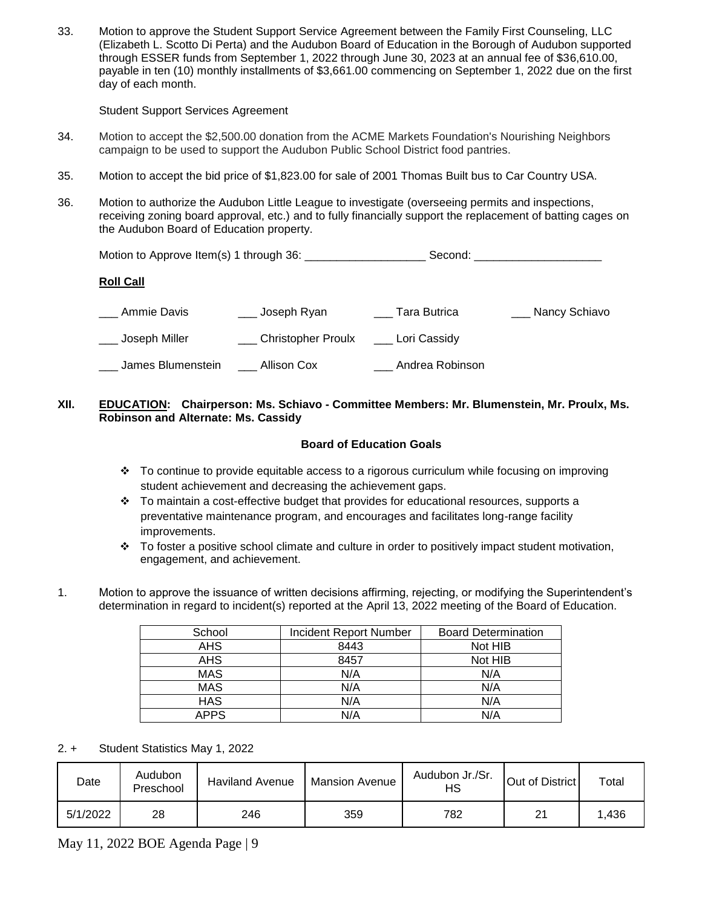33. Motion to approve the Student Support Service Agreement between the Family First Counseling, LLC (Elizabeth L. Scotto Di Perta) and the Audubon Board of Education in the Borough of Audubon supported through ESSER funds from September 1, 2022 through June 30, 2023 at an annual fee of \$36,610.00, payable in ten (10) monthly installments of \$3,661.00 commencing on September 1, 2022 due on the first day of each month.

Student Support Services Agreement

- 34. Motion to accept the \$2,500.00 donation from the ACME Markets Foundation's Nourishing Neighbors campaign to be used to support the Audubon Public School District food pantries.
- 35. Motion to accept the bid price of \$1,823.00 for sale of 2001 Thomas Built bus to Car Country USA.
- 36. Motion to authorize the Audubon Little League to investigate (overseeing permits and inspections, receiving zoning board approval, etc.) and to fully financially support the replacement of batting cages on the Audubon Board of Education property.

|                   |                                          |                 | Second: ________________________ |
|-------------------|------------------------------------------|-----------------|----------------------------------|
| <b>Roll Call</b>  |                                          |                 |                                  |
| Ammie Davis       | ___ Joseph Ryan                          | Tara Butrica    | ___ Nancy Schiavo                |
| _ Joseph Miller   | ___ Christopher Proulx ____ Lori Cassidy |                 |                                  |
| James Blumenstein | Allison Cox                              | Andrea Robinson |                                  |

# **XII. EDUCATION: Chairperson: Ms. Schiavo - Committee Members: Mr. Blumenstein, Mr. Proulx, Ms. Robinson and Alternate: Ms. Cassidy**

# **Board of Education Goals**

- To continue to provide equitable access to a rigorous curriculum while focusing on improving student achievement and decreasing the achievement gaps.
- $\cdot \cdot$  To maintain a cost-effective budget that provides for educational resources, supports a preventative maintenance program, and encourages and facilitates long-range facility improvements.
- $\cdot \cdot$  To foster a positive school climate and culture in order to positively impact student motivation, engagement, and achievement.
- 1. Motion to approve the issuance of written decisions affirming, rejecting, or modifying the Superintendent's determination in regard to incident(s) reported at the April 13, 2022 meeting of the Board of Education.

| School      | <b>Incident Report Number</b> | <b>Board Determination</b> |
|-------------|-------------------------------|----------------------------|
| <b>AHS</b>  | 8443                          | Not HIB                    |
| <b>AHS</b>  | 8457                          | Not HIB                    |
| <b>MAS</b>  | N/A                           | N/A                        |
| <b>MAS</b>  | N/A                           | N/A                        |
| <b>HAS</b>  | N/A                           | N/A                        |
| <b>APPS</b> | N/A                           | N/A                        |

#### 2. + Student Statistics May 1, 2022

| Date     | Audubon<br>Preschool | <b>Haviland Avenue</b> | <b>Mansion Avenue</b> | Audubon Jr./Sr.<br>нs | Out of District | Total |
|----------|----------------------|------------------------|-----------------------|-----------------------|-----------------|-------|
| 5/1/2022 | 28                   | 246                    | 359                   | 782                   | 21              | .436  |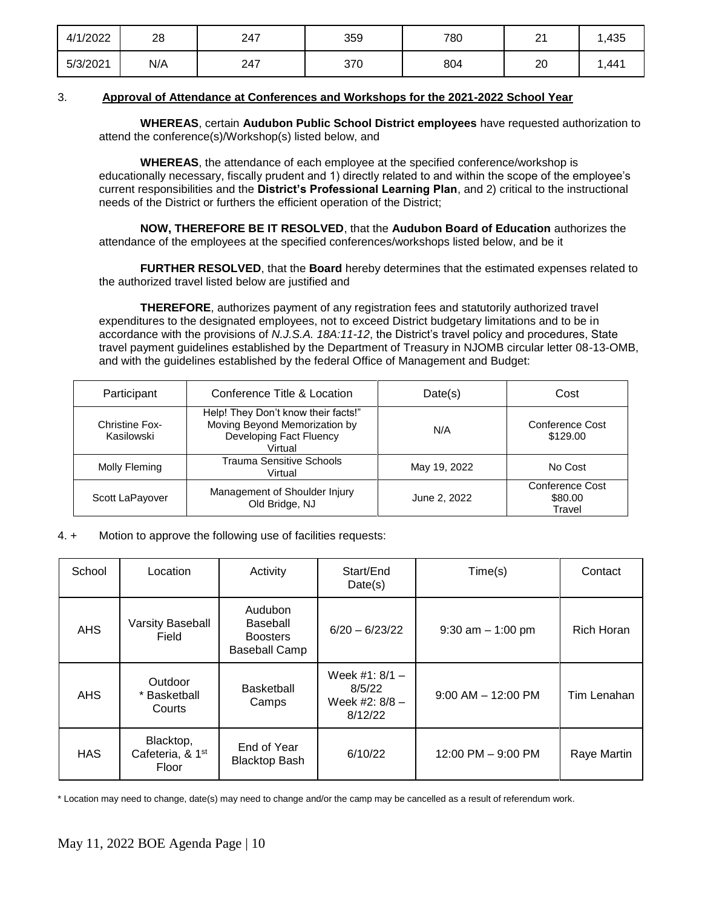| 4/1/2022 | 28  | 247 | 359 | 780 | n,<br><u>_</u> | ,435  |
|----------|-----|-----|-----|-----|----------------|-------|
| 5/3/2021 | N/A | 247 | 370 | 804 | 20             | 1,441 |

# 3. **Approval of Attendance at Conferences and Workshops for the 2021-2022 School Year**

 **WHEREAS**, certain **Audubon Public School District employees** have requested authorization to attend the conference(s)/Workshop(s) listed below, and

**WHEREAS**, the attendance of each employee at the specified conference/workshop is educationally necessary, fiscally prudent and 1) directly related to and within the scope of the employee's current responsibilities and the **District's Professional Learning Plan**, and 2) critical to the instructional needs of the District or furthers the efficient operation of the District;

**NOW, THEREFORE BE IT RESOLVED**, that the **Audubon Board of Education** authorizes the attendance of the employees at the specified conferences/workshops listed below, and be it

**FURTHER RESOLVED**, that the **Board** hereby determines that the estimated expenses related to the authorized travel listed below are justified and

**THEREFORE**, authorizes payment of any registration fees and statutorily authorized travel expenditures to the designated employees, not to exceed District budgetary limitations and to be in accordance with the provisions of *N.J.S.A. 18A:11-12*, the District's travel policy and procedures, State travel payment guidelines established by the Department of Treasury in NJOMB circular letter 08-13-OMB, and with the guidelines established by the federal Office of Management and Budget:

| Participant                         | Conference Title & Location                                                                                | Date(s)      | Cost                                 |
|-------------------------------------|------------------------------------------------------------------------------------------------------------|--------------|--------------------------------------|
| <b>Christine Fox-</b><br>Kasilowski | Help! They Don't know their facts!"<br>Moving Beyond Memorization by<br>Developing Fact Fluency<br>Virtual | N/A          | Conference Cost<br>\$129.00          |
| Molly Fleming                       | <b>Trauma Sensitive Schools</b><br>Virtual                                                                 | May 19, 2022 | No Cost                              |
| Scott LaPayover                     | Management of Shoulder Injury<br>Old Bridge, NJ                                                            | June 2, 2022 | Conference Cost<br>\$80.00<br>Travel |

#### 4. + Motion to approve the following use of facilities requests:

| School     | Location                                           | Activity                                                       | Start/End<br>Date(s)                                      | Time(s)                              | Contact           |
|------------|----------------------------------------------------|----------------------------------------------------------------|-----------------------------------------------------------|--------------------------------------|-------------------|
| <b>AHS</b> | Varsity Baseball<br>Field                          | Audubon<br>Baseball<br><b>Boosters</b><br><b>Baseball Camp</b> | $6/20 - 6/23/22$                                          | $9:30$ am $-1:00$ pm                 | <b>Rich Horan</b> |
| <b>AHS</b> | Outdoor<br>* Basketball<br>Courts                  | <b>Basketball</b><br>Camps                                     | Week #1: $8/1 -$<br>8/5/22<br>Week #2: $8/8 -$<br>8/12/22 | $9:00$ AM $-$ 12:00 PM               | Tim Lenahan       |
| <b>HAS</b> | Blacktop,<br>Cafeteria, & 1 <sup>st</sup><br>Floor | End of Year<br><b>Blacktop Bash</b>                            | 6/10/22                                                   | $12:00 \text{ PM} - 9:00 \text{ PM}$ | Raye Martin       |

\* Location may need to change, date(s) may need to change and/or the camp may be cancelled as a result of referendum work.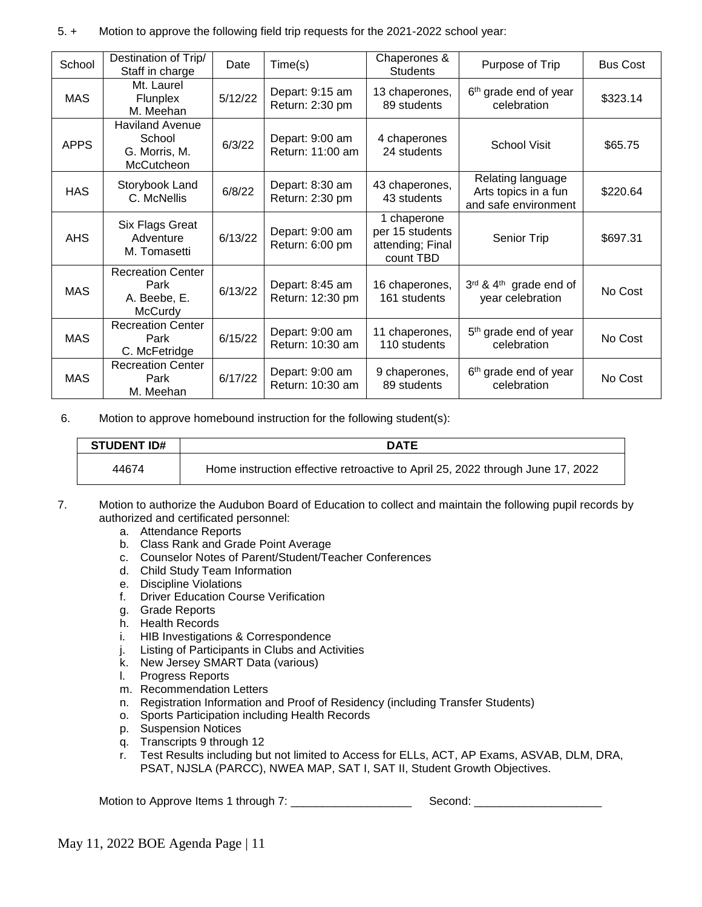# 5. + Motion to approve the following field trip requests for the 2021-2022 school year:

| School      | Destination of Trip/<br>Staff in charge                                | Date    | Time(s)                             | Chaperones &<br><b>Students</b>                                 | Purpose of Trip                                                   | <b>Bus Cost</b> |
|-------------|------------------------------------------------------------------------|---------|-------------------------------------|-----------------------------------------------------------------|-------------------------------------------------------------------|-----------------|
| <b>MAS</b>  | Mt. Laurel<br><b>Flunplex</b><br>M. Meehan                             | 5/12/22 | Depart: 9:15 am<br>Return: 2:30 pm  | 13 chaperones,<br>89 students                                   | 6 <sup>th</sup> grade end of year<br>celebration                  | \$323.14        |
| <b>APPS</b> | <b>Haviland Avenue</b><br>School<br>G. Morris, M.<br><b>McCutcheon</b> | 6/3/22  | Depart: 9:00 am<br>Return: 11:00 am | 4 chaperones<br>24 students                                     | <b>School Visit</b>                                               | \$65.75         |
| <b>HAS</b>  | Storybook Land<br>C. McNellis                                          | 6/8/22  | Depart: 8:30 am<br>Return: 2:30 pm  | 43 chaperones,<br>43 students                                   | Relating language<br>Arts topics in a fun<br>and safe environment | \$220.64        |
| <b>AHS</b>  | Six Flags Great<br>Adventure<br>M. Tomasetti                           | 6/13/22 | Depart: 9:00 am<br>Return: 6:00 pm  | 1 chaperone<br>per 15 students<br>attending; Final<br>count TBD | Senior Trip                                                       | \$697.31        |
| <b>MAS</b>  | <b>Recreation Center</b><br>Park<br>A. Beebe, E.<br>McCurdy            | 6/13/22 | Depart: 8:45 am<br>Return: 12:30 pm | 16 chaperones,<br>161 students                                  | 3rd & 4 <sup>th</sup> grade end of<br>year celebration            | No Cost         |
| <b>MAS</b>  | <b>Recreation Center</b><br>Park<br>C. McFetridge                      | 6/15/22 | Depart: 9:00 am<br>Return: 10:30 am | 11 chaperones,<br>110 students                                  | 5 <sup>th</sup> grade end of year<br>celebration                  | No Cost         |
| <b>MAS</b>  | <b>Recreation Center</b><br>Park<br>M. Meehan                          | 6/17/22 | Depart: 9:00 am<br>Return: 10:30 am | 9 chaperones,<br>89 students                                    | 6 <sup>th</sup> grade end of year<br>celebration                  | No Cost         |

6. Motion to approve homebound instruction for the following student(s):

| <b>STUDENT ID#</b> | <b>DATE</b>                                                                    |
|--------------------|--------------------------------------------------------------------------------|
| 44674              | Home instruction effective retroactive to April 25, 2022 through June 17, 2022 |

- 7. Motion to authorize the Audubon Board of Education to collect and maintain the following pupil records by authorized and certificated personnel:
	- a. Attendance Reports
	- b. Class Rank and Grade Point Average
	- c. Counselor Notes of Parent/Student/Teacher Conferences
	- d. Child Study Team Information
	- e. Discipline Violations
	- f. Driver Education Course Verification
	- g. Grade Reports
	- h. Health Records
	- i. HIB Investigations & Correspondence
	- j. Listing of Participants in Clubs and Activities
	- k. New Jersey SMART Data (various)
	- l. Progress Reports
	- m. Recommendation Letters
	- n. Registration Information and Proof of Residency (including Transfer Students)
	- o. Sports Participation including Health Records
	- p. Suspension Notices
	- q. Transcripts 9 through 12
	- r. Test Results including but not limited to Access for ELLs, ACT, AP Exams, ASVAB, DLM, DRA, PSAT, NJSLA (PARCC), NWEA MAP, SAT I, SAT II, Student Growth Objectives.

Motion to Approve Items 1 through 7: \_\_\_\_\_\_\_\_\_\_\_\_\_\_\_\_\_\_\_ Second: \_\_\_\_\_\_\_\_\_\_\_\_\_\_\_\_\_\_\_\_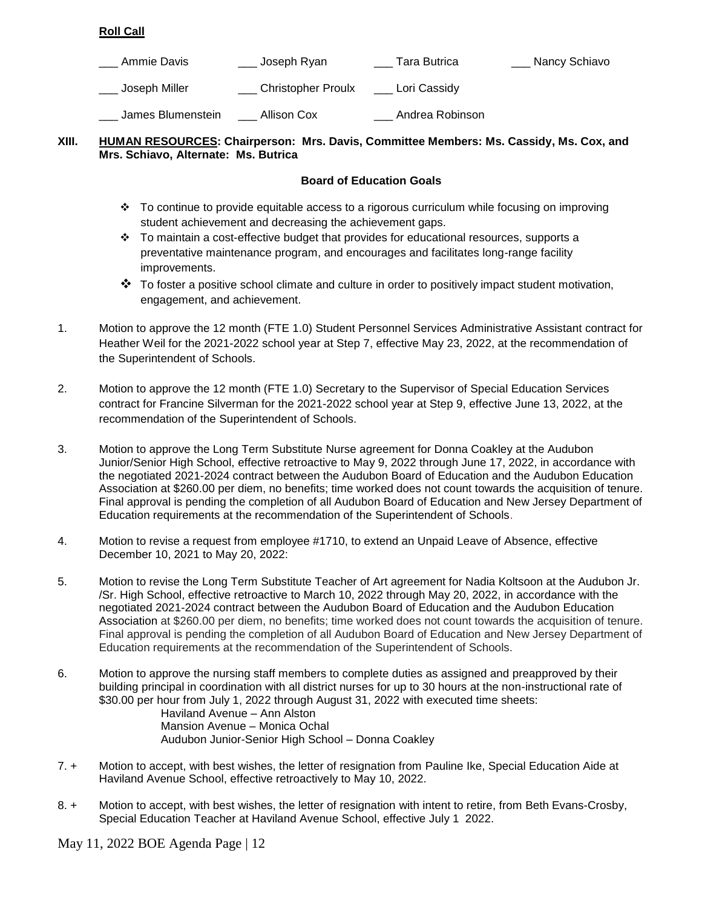# **Roll Call**

| Ammie Davis       | Joseph Ryan               | Tara Butrica    | Nancy Schiavo |
|-------------------|---------------------------|-----------------|---------------|
| Joseph Miller     | <b>Christopher Proulx</b> | Lori Cassidy    |               |
| James Blumenstein | Allison Cox               | Andrea Robinson |               |

# **XIII. HUMAN RESOURCES: Chairperson: Mrs. Davis, Committee Members: Ms. Cassidy, Ms. Cox, and Mrs. Schiavo, Alternate: Ms. Butrica**

# **Board of Education Goals**

- To continue to provide equitable access to a rigorous curriculum while focusing on improving student achievement and decreasing the achievement gaps.
- $\cdot \cdot$  To maintain a cost-effective budget that provides for educational resources, supports a preventative maintenance program, and encourages and facilitates long-range facility improvements.
- $\clubsuit$  To foster a positive school climate and culture in order to positively impact student motivation, engagement, and achievement.
- 1. Motion to approve the 12 month (FTE 1.0) Student Personnel Services Administrative Assistant contract for Heather Weil for the 2021-2022 school year at Step 7, effective May 23, 2022, at the recommendation of the Superintendent of Schools.
- 2. Motion to approve the 12 month (FTE 1.0) Secretary to the Supervisor of Special Education Services contract for Francine Silverman for the 2021-2022 school year at Step 9, effective June 13, 2022, at the recommendation of the Superintendent of Schools.
- 3. Motion to approve the Long Term Substitute Nurse agreement for Donna Coakley at the Audubon Junior/Senior High School, effective retroactive to May 9, 2022 through June 17, 2022, in accordance with the negotiated 2021-2024 contract between the Audubon Board of Education and the Audubon Education Association at \$260.00 per diem, no benefits; time worked does not count towards the acquisition of tenure. Final approval is pending the completion of all Audubon Board of Education and New Jersey Department of Education requirements at the recommendation of the Superintendent of Schools.
- 4. Motion to revise a request from employee #1710, to extend an Unpaid Leave of Absence, effective December 10, 2021 to May 20, 2022:
- 5. Motion to revise the Long Term Substitute Teacher of Art agreement for Nadia Koltsoon at the Audubon Jr. /Sr. High School, effective retroactive to March 10, 2022 through May 20, 2022, in accordance with the negotiated 2021-2024 contract between the Audubon Board of Education and the Audubon Education Association at \$260.00 per diem, no benefits; time worked does not count towards the acquisition of tenure. Final approval is pending the completion of all Audubon Board of Education and New Jersey Department of Education requirements at the recommendation of the Superintendent of Schools.
- 6. Motion to approve the nursing staff members to complete duties as assigned and preapproved by their building principal in coordination with all district nurses for up to 30 hours at the non-instructional rate of \$30.00 per hour from July 1, 2022 through August 31, 2022 with executed time sheets: Haviland Avenue – Ann Alston Mansion Avenue – Monica Ochal Audubon Junior-Senior High School – Donna Coakley
- 7. + Motion to accept, with best wishes, the letter of resignation from Pauline Ike, Special Education Aide at Haviland Avenue School, effective retroactively to May 10, 2022.
- 8. + Motion to accept, with best wishes, the letter of resignation with intent to retire, from Beth Evans-Crosby, Special Education Teacher at Haviland Avenue School, effective July 1 2022.

May 11, 2022 BOE Agenda Page | 12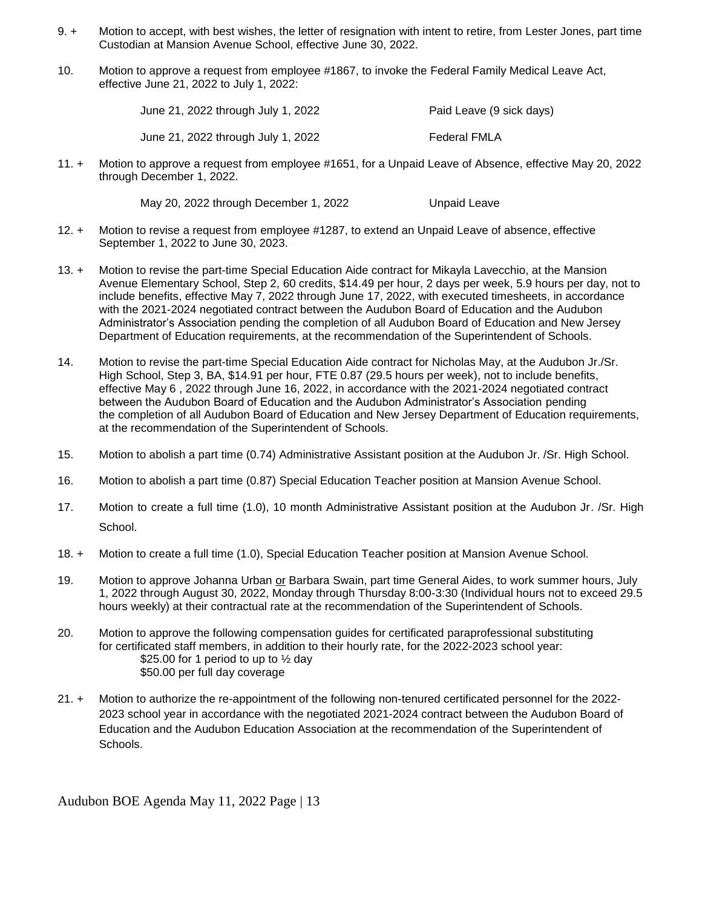- 9. + Motion to accept, with best wishes, the letter of resignation with intent to retire, from Lester Jones, part time Custodian at Mansion Avenue School, effective June 30, 2022.
- 10. Motion to approve a request from employee #1867, to invoke the Federal Family Medical Leave Act, effective June 21, 2022 to July 1, 2022:

June 21, 2022 through July 1, 2022 Paid Leave (9 sick days) June 21, 2022 through July 1, 2022 Federal FMLA

11. + Motion to approve a request from employee #1651, for a Unpaid Leave of Absence, effective May 20, 2022 through December 1, 2022.

May 20, 2022 through December 1, 2022 Unpaid Leave

- 12. + Motion to revise a request from employee #1287, to extend an Unpaid Leave of absence, effective September 1, 2022 to June 30, 2023.
- 13. + Motion to revise the part-time Special Education Aide contract for Mikayla Lavecchio, at the Mansion Avenue Elementary School, Step 2, 60 credits, \$14.49 per hour, 2 days per week, 5.9 hours per day, not to include benefits, effective May 7, 2022 through June 17, 2022, with executed timesheets, in accordance with the 2021-2024 negotiated contract between the Audubon Board of Education and the Audubon Administrator's Association pending the completion of all Audubon Board of Education and New Jersey Department of Education requirements, at the recommendation of the Superintendent of Schools.
- 14. Motion to revise the part-time Special Education Aide contract for Nicholas May, at the Audubon Jr./Sr. High School, Step 3, BA, \$14.91 per hour, FTE 0.87 (29.5 hours per week), not to include benefits, effective May 6 , 2022 through June 16, 2022, in accordance with the 2021-2024 negotiated contract between the Audubon Board of Education and the Audubon Administrator's Association pending the completion of all Audubon Board of Education and New Jersey Department of Education requirements, at the recommendation of the Superintendent of Schools.
- 15. Motion to abolish a part time (0.74) Administrative Assistant position at the Audubon Jr. /Sr. High School.
- 16. Motion to abolish a part time (0.87) Special Education Teacher position at Mansion Avenue School.
- 17. Motion to create a full time (1.0), 10 month Administrative Assistant position at the Audubon Jr. /Sr. High School.
- 18. + Motion to create a full time (1.0), Special Education Teacher position at Mansion Avenue School.
- 19. Motion to approve Johanna Urban or Barbara Swain, part time General Aides, to work summer hours, July 1, 2022 through August 30, 2022, Monday through Thursday 8:00-3:30 (Individual hours not to exceed 29.5 hours weekly) at their contractual rate at the recommendation of the Superintendent of Schools.
- 20. Motion to approve the following compensation guides for certificated paraprofessional substituting for certificated staff members, in addition to their hourly rate, for the 2022-2023 school year: \$25.00 for 1 period to up to  $\frac{1}{2}$  day \$50.00 per full day coverage
- 21. + Motion to authorize the re-appointment of the following non-tenured certificated personnel for the 2022- 2023 school year in accordance with the negotiated 2021-2024 contract between the Audubon Board of Education and the Audubon Education Association at the recommendation of the Superintendent of Schools.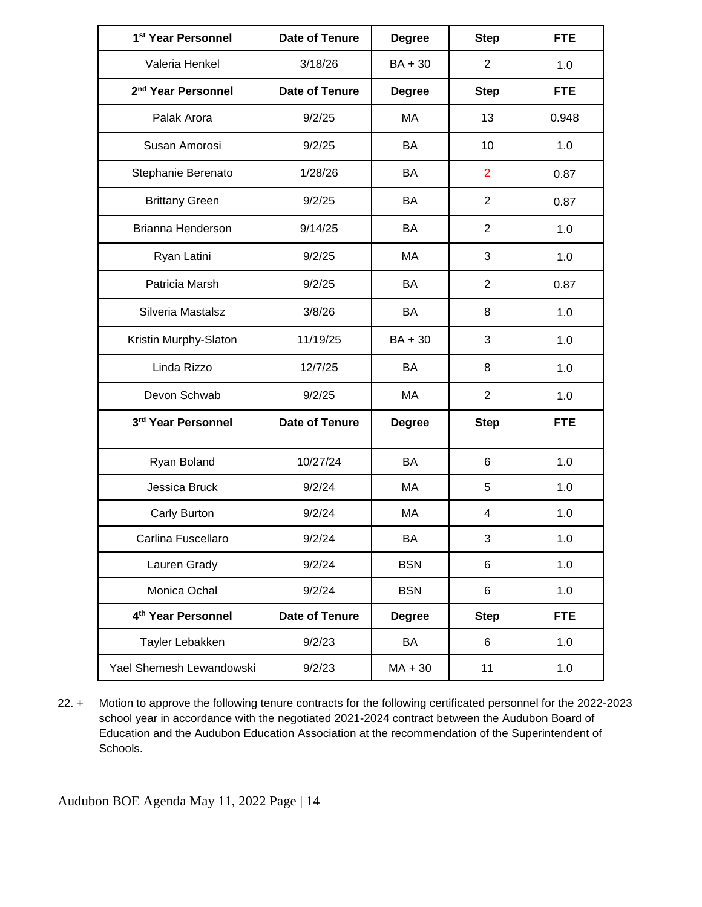| 1 <sup>st</sup> Year Personnel | Date of Tenure | <b>Degree</b> | <b>Step</b>    | <b>FTE</b> |
|--------------------------------|----------------|---------------|----------------|------------|
| Valeria Henkel                 | 3/18/26        | $BA + 30$     | $\overline{2}$ | 1.0        |
| 2 <sup>nd</sup> Year Personnel | Date of Tenure | <b>Degree</b> | <b>Step</b>    | <b>FTE</b> |
| Palak Arora                    | 9/2/25         | MA            | 13             | 0.948      |
| Susan Amorosi                  | 9/2/25         | BA            | 10             | 1.0        |
| Stephanie Berenato             | 1/28/26        | BA            | $\overline{2}$ | 0.87       |
| <b>Brittany Green</b>          | 9/2/25         | BA            | $\overline{2}$ | 0.87       |
| Brianna Henderson              | 9/14/25        | <b>BA</b>     | $\overline{2}$ | 1.0        |
| Ryan Latini                    | 9/2/25         | MA            | 3              | 1.0        |
| Patricia Marsh                 | 9/2/25         | <b>BA</b>     | $\overline{2}$ | 0.87       |
| Silveria Mastalsz              | 3/8/26         | <b>BA</b>     | 8              | 1.0        |
| Kristin Murphy-Slaton          | 11/19/25       | $BA + 30$     | 3              | 1.0        |
| Linda Rizzo                    | 12/7/25        | <b>BA</b>     | 8              | 1.0        |
| Devon Schwab                   | 9/2/25         | MA            | $\overline{2}$ | 1.0        |
| 3rd Year Personnel             | Date of Tenure | <b>Degree</b> | <b>Step</b>    | <b>FTE</b> |
| Ryan Boland                    | 10/27/24       | BA            | 6              | 1.0        |
| Jessica Bruck                  | 9/2/24         | МA            | 5              | 1.0        |
| Carly Burton                   | 9/2/24         | МA            | 4              | 1.0        |
| Carlina Fuscellaro             | 9/2/24         | BA            | 3              | 1.0        |
| Lauren Grady                   | 9/2/24         | <b>BSN</b>    | 6              | 1.0        |
| Monica Ochal                   | 9/2/24         | <b>BSN</b>    | 6              | 1.0        |
| 4 <sup>th</sup> Year Personnel | Date of Tenure | <b>Degree</b> | <b>Step</b>    | <b>FTE</b> |
| Tayler Lebakken                | 9/2/23         | BA            | 6              | 1.0        |
| Yael Shemesh Lewandowski       | 9/2/23         | $MA + 30$     | 11             | 1.0        |

22. + Motion to approve the following tenure contracts for the following certificated personnel for the 2022-2023 school year in accordance with the negotiated 2021-2024 contract between the Audubon Board of Education and the Audubon Education Association at the recommendation of the Superintendent of Schools.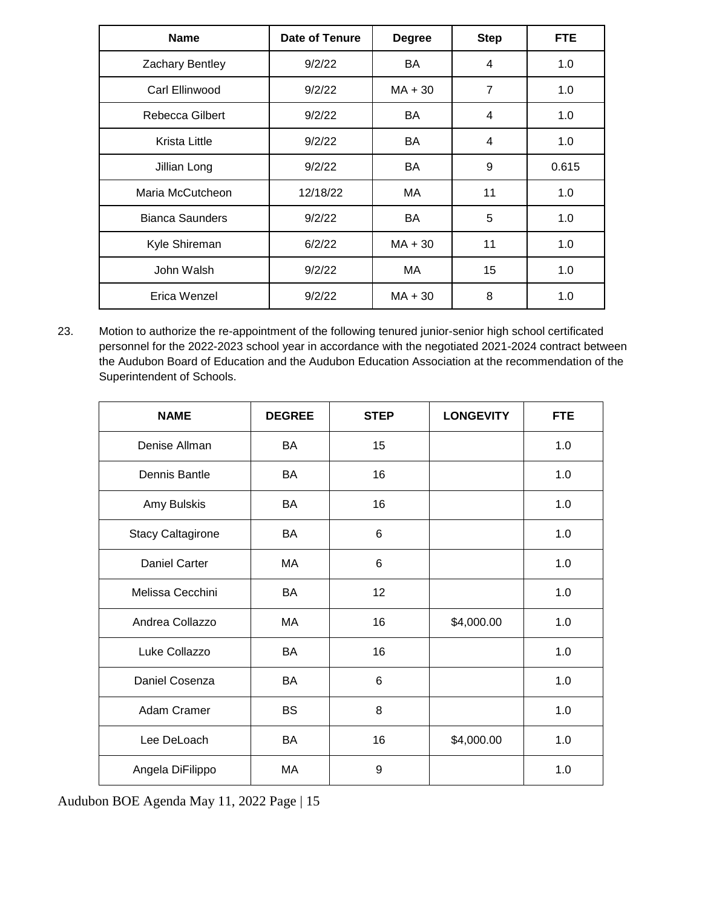| <b>Name</b>            | Date of Tenure | <b>Degree</b> | <b>Step</b>    | <b>FTE</b> |
|------------------------|----------------|---------------|----------------|------------|
| Zachary Bentley        | 9/2/22         | BA            | 4              | 1.0        |
| Carl Ellinwood         | 9/2/22         | $MA + 30$     | $\overline{7}$ | 1.0        |
| Rebecca Gilbert        | 9/2/22         | BA            | 4              | 1.0        |
| Krista Little          | 9/2/22         | BA            | 4              | 1.0        |
| Jillian Long           | 9/2/22         | BA            | 9              | 0.615      |
| Maria McCutcheon       | 12/18/22       | MA            | 11             | 1.0        |
| <b>Bianca Saunders</b> | 9/2/22         | BA            | 5              | 1.0        |
| Kyle Shireman          | 6/2/22         | $MA + 30$     | 11             | 1.0        |
| John Walsh             | 9/2/22         | MA            | 15             | 1.0        |
| Erica Wenzel           | 9/2/22         | $MA + 30$     | 8              | 1.0        |

23. Motion to authorize the re-appointment of the following tenured junior-senior high school certificated personnel for the 2022-2023 school year in accordance with the negotiated 2021-2024 contract between the Audubon Board of Education and the Audubon Education Association at the recommendation of the Superintendent of Schools.

| <b>NAME</b>              | <b>DEGREE</b> | <b>STEP</b>    | <b>LONGEVITY</b> | <b>FTE</b> |
|--------------------------|---------------|----------------|------------------|------------|
| Denise Allman            | BA            | 15             |                  | 1.0        |
| Dennis Bantle            | BA            | 16             |                  | 1.0        |
| Amy Bulskis              | BA            | 16             |                  | 1.0        |
| <b>Stacy Caltagirone</b> | BA            | 6              |                  | 1.0        |
| <b>Daniel Carter</b>     | МA            | 6              |                  | 1.0        |
| Melissa Cecchini         | BA            | 12             |                  | 1.0        |
| Andrea Collazzo          | МA            | 16             | \$4,000.00       | 1.0        |
| Luke Collazzo            | BA            | 16             |                  | 1.0        |
| Daniel Cosenza           | BA            | $6\phantom{1}$ |                  | 1.0        |
| Adam Cramer              | <b>BS</b>     | 8              |                  | 1.0        |
| Lee DeLoach              | BA            | 16             | \$4,000.00       | 1.0        |
| Angela DiFilippo         | МA            | 9              |                  | 1.0        |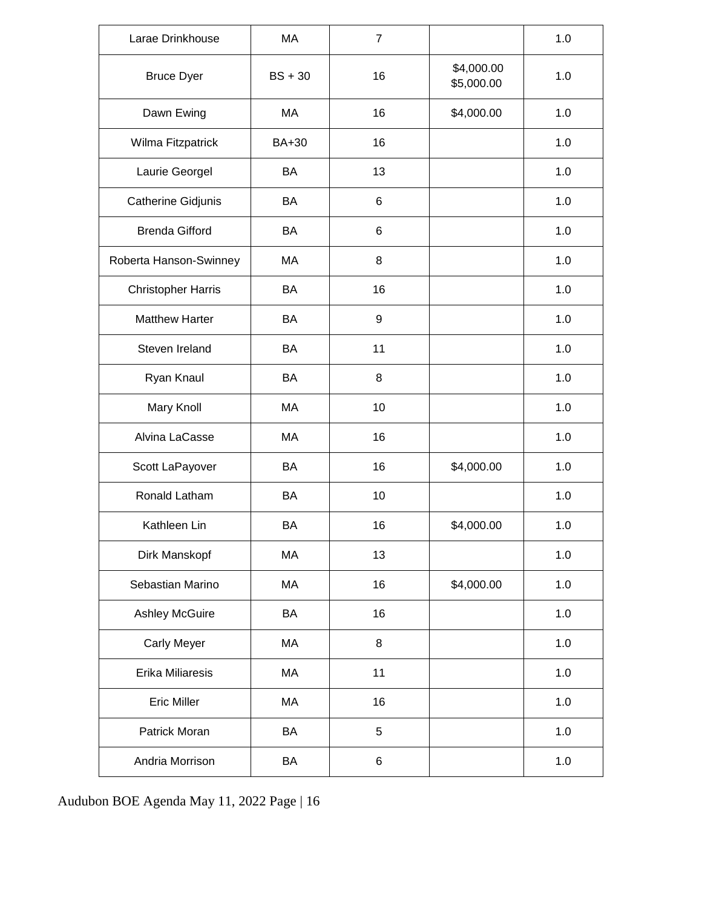| Larae Drinkhouse          | MA        | $\overline{7}$ |                          | 1.0 |
|---------------------------|-----------|----------------|--------------------------|-----|
| <b>Bruce Dyer</b>         | $BS + 30$ | 16             | \$4,000.00<br>\$5,000.00 | 1.0 |
| Dawn Ewing                | МA        | 16             | \$4,000.00               | 1.0 |
| Wilma Fitzpatrick         | BA+30     | 16             |                          | 1.0 |
| Laurie Georgel            | <b>BA</b> | 13             |                          | 1.0 |
| Catherine Gidjunis        | BA        | 6              |                          | 1.0 |
| <b>Brenda Gifford</b>     | BA        | 6              |                          | 1.0 |
| Roberta Hanson-Swinney    | MA        | 8              |                          | 1.0 |
| <b>Christopher Harris</b> | BA        | 16             |                          | 1.0 |
| <b>Matthew Harter</b>     | BA        | 9              |                          | 1.0 |
| Steven Ireland            | BA        | 11             |                          | 1.0 |
| Ryan Knaul                | BA        | 8              |                          | 1.0 |
| Mary Knoll                | MA        | 10             |                          | 1.0 |
| Alvina LaCasse            | MA        | 16             |                          | 1.0 |
| Scott LaPayover           | BA        | 16             | \$4,000.00               | 1.0 |
| Ronald Latham             | BA        | 10             |                          | 1.0 |
| Kathleen Lin              | BA        | 16             | \$4,000.00               | 1.0 |
| Dirk Manskopf             | MA        | 13             |                          | 1.0 |
| Sebastian Marino          | MA        | 16             | \$4,000.00               | 1.0 |
| <b>Ashley McGuire</b>     | BA        | 16             |                          | 1.0 |
| <b>Carly Meyer</b>        | MA        | 8              |                          | 1.0 |
| <b>Erika Miliaresis</b>   | МA        | 11             |                          | 1.0 |
| <b>Eric Miller</b>        | MA        | 16             |                          | 1.0 |
| Patrick Moran             | BA        | 5              |                          | 1.0 |
| Andria Morrison           | BA        | 6              |                          | 1.0 |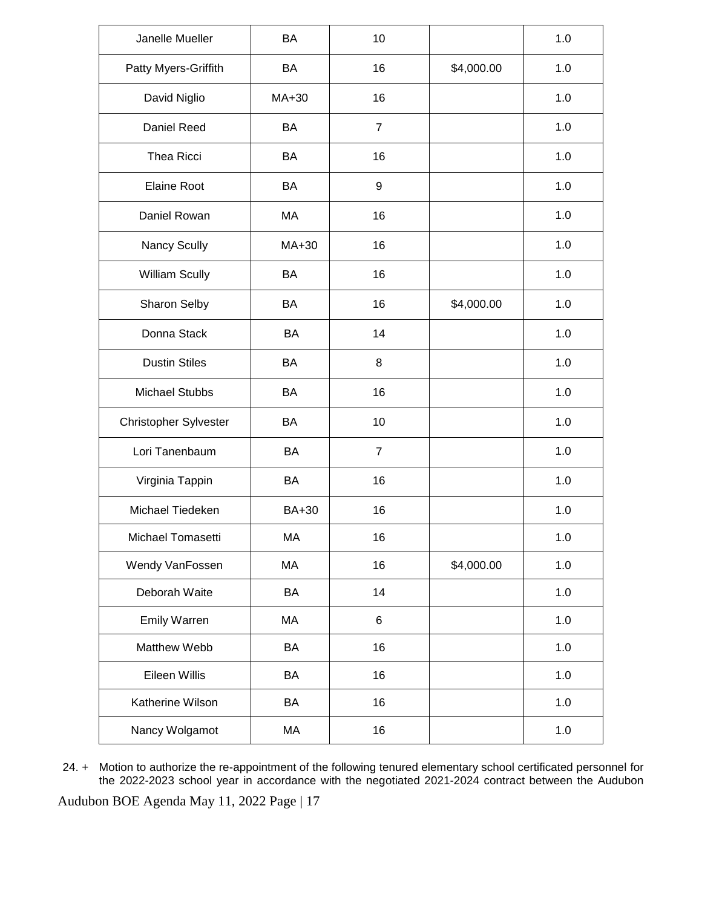| Janelle Mueller       | <b>BA</b>    | 10             |            | 1.0   |
|-----------------------|--------------|----------------|------------|-------|
| Patty Myers-Griffith  | BA           | 16             | \$4,000.00 | 1.0   |
| David Niglio          | MA+30        | 16             |            | 1.0   |
| Daniel Reed           | BA           | $\overline{7}$ |            | 1.0   |
| Thea Ricci            | BA           | 16             |            | 1.0   |
| <b>Elaine Root</b>    | BA           | 9              |            | 1.0   |
| Daniel Rowan          | MA           | 16             |            | 1.0   |
| Nancy Scully          | MA+30        | 16             |            | 1.0   |
| William Scully        | BA           | 16             |            | 1.0   |
| Sharon Selby          | BA           | 16             | \$4,000.00 | 1.0   |
| Donna Stack           | BA           | 14             |            | 1.0   |
| <b>Dustin Stiles</b>  | BA           | 8              |            | 1.0   |
| <b>Michael Stubbs</b> | BA           | 16             |            | 1.0   |
| Christopher Sylvester | BA           | 10             |            | 1.0   |
| Lori Tanenbaum        | BA           | $\overline{7}$ |            | 1.0   |
| Virginia Tappin       | BA           | 16             |            | 1.0   |
| Michael Tiedeken      | <b>BA+30</b> | 16             |            | 1.0   |
| Michael Tomasetti     | MA           | 16             |            | 1.0   |
| Wendy VanFossen       | MA           | 16             | \$4,000.00 | 1.0   |
| Deborah Waite         | BA           | 14             |            | 1.0   |
| <b>Emily Warren</b>   | MA           | $\,6\,$        |            | 1.0   |
| Matthew Webb          | BA           | 16             |            | 1.0   |
| Eileen Willis         | BA           | 16             |            | 1.0   |
| Katherine Wilson      | BA           | 16             |            | 1.0   |
| Nancy Wolgamot        | MA           | 16             |            | $1.0$ |

24. + Motion to authorize the re-appointment of the following tenured elementary school certificated personnel for the 2022-2023 school year in accordance with the negotiated 2021-2024 contract between the Audubon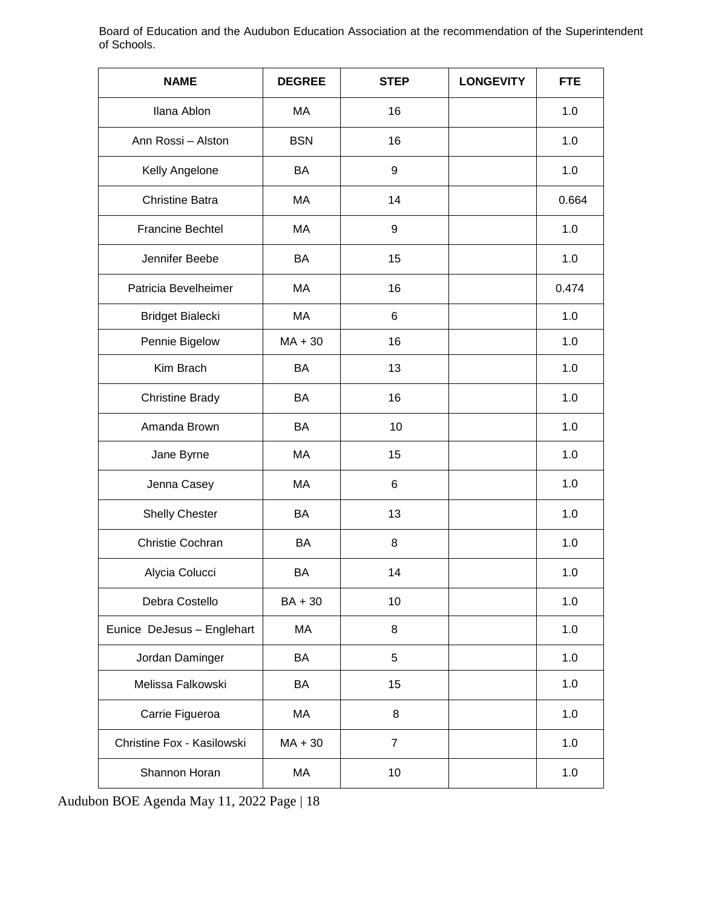Board of Education and the Audubon Education Association at the recommendation of the Superintendent of Schools.

| <b>NAME</b>                | <b>DEGREE</b> | <b>STEP</b>    | <b>LONGEVITY</b> | <b>FTE</b> |
|----------------------------|---------------|----------------|------------------|------------|
| Ilana Ablon                | MA            | 16             |                  | 1.0        |
| Ann Rossi - Alston         | <b>BSN</b>    | 16             |                  | 1.0        |
| Kelly Angelone             | <b>BA</b>     | 9              |                  | 1.0        |
| <b>Christine Batra</b>     | MA            | 14             |                  | 0.664      |
| <b>Francine Bechtel</b>    | MA            | 9              |                  | 1.0        |
| Jennifer Beebe             | <b>BA</b>     | 15             |                  | 1.0        |
| Patricia Bevelheimer       | MA            | 16             |                  | 0.474      |
| Bridget Bialecki           | MA            | 6              |                  | 1.0        |
| Pennie Bigelow             | $MA + 30$     | 16             |                  | 1.0        |
| Kim Brach                  | <b>BA</b>     | 13             |                  | 1.0        |
| <b>Christine Brady</b>     | <b>BA</b>     | 16             |                  | 1.0        |
| Amanda Brown               | <b>BA</b>     | 10             |                  | 1.0        |
| Jane Byrne                 | MA            | 15             |                  | 1.0        |
| Jenna Casey                | MA            | 6              |                  | 1.0        |
| <b>Shelly Chester</b>      | BA            | 13             |                  | 1.0        |
| Christie Cochran           | BA            | 8              |                  | 1.0        |
| Alycia Colucci             | BA            | 14             |                  | 1.0        |
| Debra Costello             | $BA + 30$     | 10             |                  | 1.0        |
| Eunice DeJesus - Englehart | МA            | 8              |                  | 1.0        |
| Jordan Daminger            | BA            | 5              |                  | 1.0        |
| Melissa Falkowski          | BA            | 15             |                  | 1.0        |
| Carrie Figueroa            | MA            | 8              |                  | 1.0        |
| Christine Fox - Kasilowski | $MA + 30$     | $\overline{7}$ |                  | 1.0        |
| Shannon Horan              | MA            | 10             |                  | 1.0        |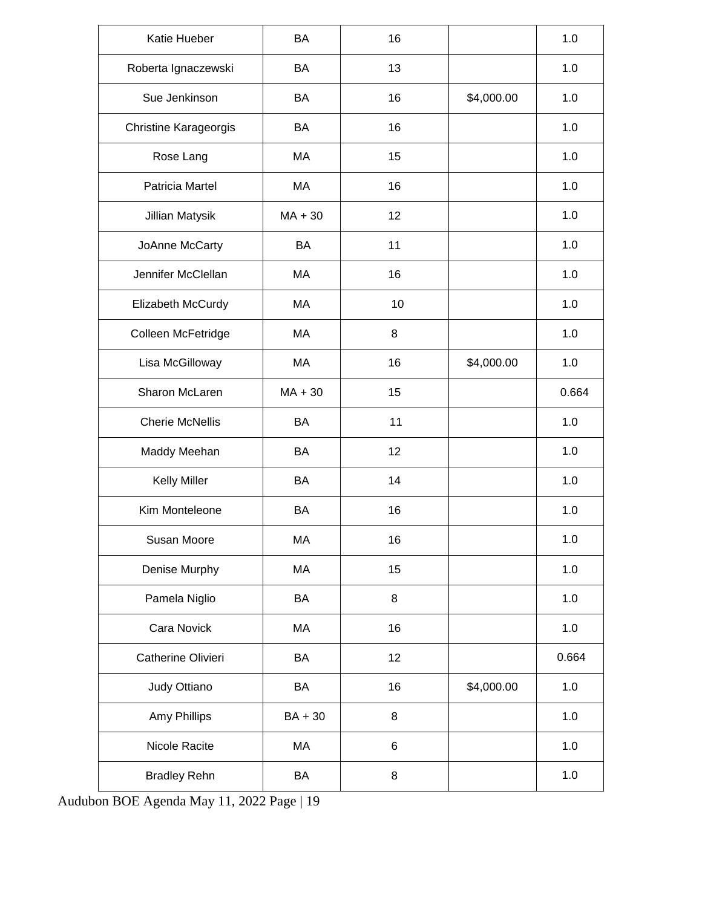| Katie Hueber                 | <b>BA</b> | 16 |            | 1.0   |
|------------------------------|-----------|----|------------|-------|
| Roberta Ignaczewski          | BA        | 13 |            | 1.0   |
| Sue Jenkinson                | BA        | 16 | \$4,000.00 | 1.0   |
| <b>Christine Karageorgis</b> | BA        | 16 |            | 1.0   |
| Rose Lang                    | MA        | 15 |            | 1.0   |
| Patricia Martel              | MA        | 16 |            | 1.0   |
| Jillian Matysik              | $MA + 30$ | 12 |            | 1.0   |
| JoAnne McCarty               | BA        | 11 |            | 1.0   |
| Jennifer McClellan           | MA        | 16 |            | 1.0   |
| Elizabeth McCurdy            | MA        | 10 |            | 1.0   |
| Colleen McFetridge           | МA        | 8  |            | 1.0   |
| Lisa McGilloway              | MA        | 16 | \$4,000.00 | 1.0   |
| Sharon McLaren               | $MA + 30$ | 15 |            | 0.664 |
| <b>Cherie McNellis</b>       | BA        | 11 |            | 1.0   |
| Maddy Meehan                 | BA        | 12 |            | 1.0   |
| <b>Kelly Miller</b>          | BA        | 14 |            | 1.0   |
| Kim Monteleone               | BA        | 16 |            | 1.0   |
| Susan Moore                  | MA        | 16 |            | 1.0   |
| Denise Murphy                | MA        | 15 |            | 1.0   |
| Pamela Niglio                | BA        | 8  |            | 1.0   |
| Cara Novick                  | MA        | 16 |            | 1.0   |
| Catherine Olivieri           | BA        | 12 |            | 0.664 |
| Judy Ottiano                 | BA        | 16 | \$4,000.00 | 1.0   |
| Amy Phillips                 | BA + 30   | 8  |            | $1.0$ |
| Nicole Racite                | MA        | 6  |            | 1.0   |
| <b>Bradley Rehn</b>          | BA        | 8  |            | $1.0$ |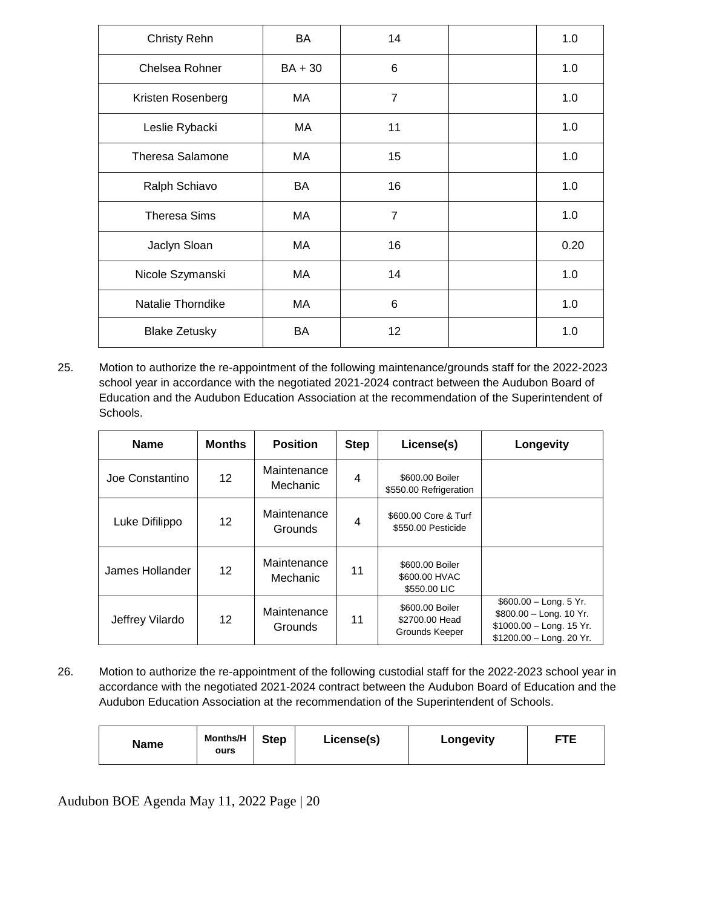| <b>Christy Rehn</b>     | BA        | 14             | 1.0  |
|-------------------------|-----------|----------------|------|
| Chelsea Rohner          | $BA + 30$ | 6              | 1.0  |
| Kristen Rosenberg       | MA        | $\overline{7}$ | 1.0  |
| Leslie Rybacki          | MA.       | 11             | 1.0  |
| <b>Theresa Salamone</b> | МA        | 15             | 1.0  |
| Ralph Schiavo           | BA        | 16             | 1.0  |
| <b>Theresa Sims</b>     | MA        | $\overline{7}$ | 1.0  |
| Jaclyn Sloan            | MA        | 16             | 0.20 |
| Nicole Szymanski        | MA        | 14             | 1.0  |
| Natalie Thorndike       | МA        | 6              | 1.0  |
| <b>Blake Zetusky</b>    | BA        | 12             | 1.0  |

25. Motion to authorize the re-appointment of the following maintenance/grounds staff for the 2022-2023 school year in accordance with the negotiated 2021-2024 contract between the Audubon Board of Education and the Audubon Education Association at the recommendation of the Superintendent of Schools.

| <b>Name</b>     | <b>Months</b>   | <b>Position</b>               | <b>Step</b>    | License(s)                                          | Longevity                                                                                                   |
|-----------------|-----------------|-------------------------------|----------------|-----------------------------------------------------|-------------------------------------------------------------------------------------------------------------|
| Joe Constantino | 12 <sup>2</sup> | Maintenance<br>Mechanic       | 4              | \$600.00 Boiler<br>\$550.00 Refrigeration           |                                                                                                             |
| Luke Difilippo  | 12 <sup>2</sup> | Maintenance<br><b>Grounds</b> | $\overline{4}$ | \$600.00 Core & Turf<br>\$550.00 Pesticide          |                                                                                                             |
| James Hollander | 12 <sup>2</sup> | Maintenance<br>Mechanic       | 11             | \$600,00 Boiler<br>\$600.00 HVAC<br>\$550,00 LIC    |                                                                                                             |
| Jeffrey Vilardo | 12              | Maintenance<br><b>Grounds</b> | 11             | \$600,00 Boiler<br>\$2700.00 Head<br>Grounds Keeper | $$600.00 - Long. 5$ Yr.<br>\$800.00 - Long. 10 Yr.<br>$$1000.00 - Long. 15$ Yr.<br>\$1200.00 - Long. 20 Yr. |

26. Motion to authorize the re-appointment of the following custodial staff for the 2022-2023 school year in accordance with the negotiated 2021-2024 contract between the Audubon Board of Education and the Audubon Education Association at the recommendation of the Superintendent of Schools.

| <b>Name</b> | <b>Months/H</b><br>ours | <b>Step</b> | License(s) | Longevity | <b>FTE</b> |
|-------------|-------------------------|-------------|------------|-----------|------------|
|-------------|-------------------------|-------------|------------|-----------|------------|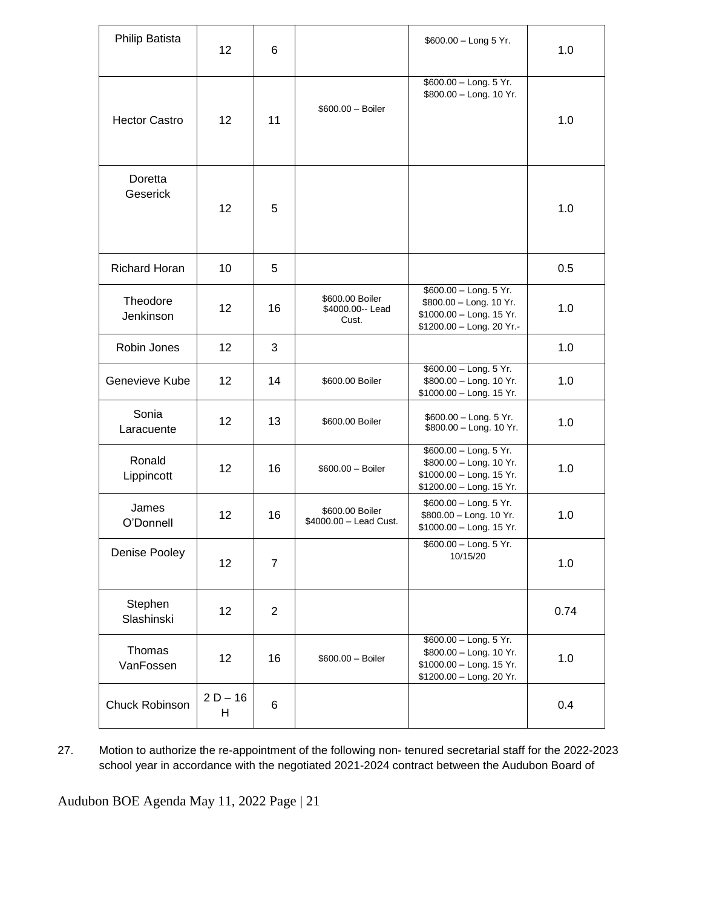| Philip Batista        | 12              | 6              |                                               | \$600.00 - Long 5 Yr.                                                                                      | 1.0  |
|-----------------------|-----------------|----------------|-----------------------------------------------|------------------------------------------------------------------------------------------------------------|------|
| <b>Hector Castro</b>  | 12 <sup>2</sup> | 11             | $$600.00 - Boiler$                            | \$600.00 - Long. 5 Yr.<br>\$800.00 - Long. 10 Yr.                                                          | 1.0  |
| Doretta<br>Geserick   | 12              | 5              |                                               |                                                                                                            | 1.0  |
| <b>Richard Horan</b>  | 10              | 5              |                                               |                                                                                                            | 0.5  |
| Theodore<br>Jenkinson | 12 <sup>2</sup> | 16             | \$600.00 Boiler<br>\$4000.00 -- Lead<br>Cust. | \$600.00 - Long. 5 Yr.<br>\$800.00 - Long. 10 Yr.<br>\$1000.00 - Long. 15 Yr.<br>\$1200.00 - Long. 20 Yr.- | 1.0  |
| Robin Jones           | 12 <sup>2</sup> | 3              |                                               |                                                                                                            | 1.0  |
| Genevieve Kube        | 12              | 14             | \$600.00 Boiler                               | \$600.00 - Long. 5 Yr.<br>\$800.00 - Long. 10 Yr.<br>\$1000.00 - Long. 15 Yr.                              | 1.0  |
| Sonia<br>Laracuente   | 12              | 13             | \$600.00 Boiler                               | \$600.00 - Long. 5 Yr.<br>\$800.00 - Long. 10 Yr.                                                          | 1.0  |
| Ronald<br>Lippincott  | 12              | 16             | $$600.00 - Boiler$                            | \$600.00 - Long. 5 Yr.<br>\$800.00 - Long. 10 Yr.<br>\$1000.00 - Long. 15 Yr.<br>\$1200.00 - Long. 15 Yr.  | 1.0  |
| James<br>O'Donnell    | 12              | 16             | \$600.00 Boiler<br>\$4000.00 - Lead Cust.     | \$600.00 - Long. 5 Yr.<br>\$800.00 - Long. 10 Yr.<br>\$1000.00 - Long. 15 Yr.                              | 1.0  |
| Denise Pooley         | 12              | $\overline{7}$ |                                               | \$600.00 - Long. 5 Yr.<br>10/15/20                                                                         | 1.0  |
| Stephen<br>Slashinski | 12              | $\overline{2}$ |                                               |                                                                                                            | 0.74 |
| Thomas<br>VanFossen   | 12              | 16             | \$600.00 - Boiler                             | \$600.00 - Long. 5 Yr.<br>\$800.00 - Long. 10 Yr.<br>\$1000.00 - Long. 15 Yr.<br>\$1200.00 - Long. 20 Yr.  | 1.0  |
| Chuck Robinson        | $2 D - 16$<br>H | 6              |                                               |                                                                                                            | 0.4  |

27. Motion to authorize the re-appointment of the following non- tenured secretarial staff for the 2022-2023 school year in accordance with the negotiated 2021-2024 contract between the Audubon Board of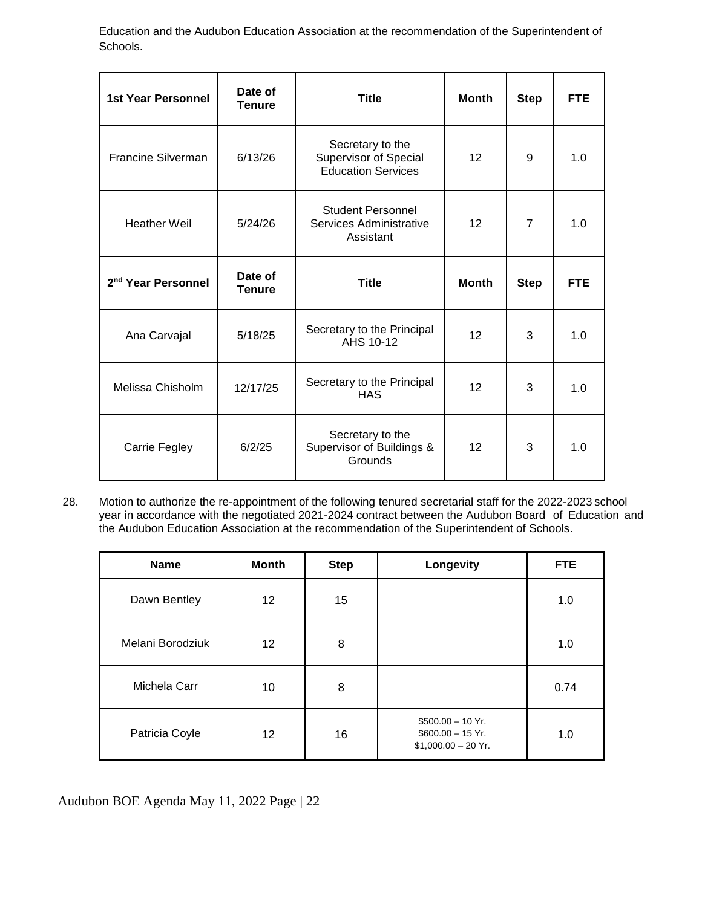Education and the Audubon Education Association at the recommendation of the Superintendent of Schools.

| <b>1st Year Personnel</b>      | Date of<br><b>Tenure</b> | <b>Title</b>                                                                  | <b>Month</b> | <b>Step</b>    | <b>FTE</b> |
|--------------------------------|--------------------------|-------------------------------------------------------------------------------|--------------|----------------|------------|
| Francine Silverman             | 6/13/26                  | Secretary to the<br><b>Supervisor of Special</b><br><b>Education Services</b> | 12           | 9              | 1.0        |
| <b>Heather Weil</b>            | 5/24/26                  | <b>Student Personnel</b><br>Services Administrative<br>Assistant              | 12           | $\overline{7}$ | 1.0        |
| 2 <sup>nd</sup> Year Personnel | Date of<br><b>Tenure</b> | <b>Title</b>                                                                  | <b>Month</b> | <b>Step</b>    | <b>FTE</b> |
| Ana Carvajal                   | 5/18/25                  | Secretary to the Principal<br>AHS 10-12                                       | 12           | 3              | 1.0        |
| Melissa Chisholm               | 12/17/25                 | Secretary to the Principal<br><b>HAS</b>                                      | 12           | 3              | 1.0        |
| Carrie Fegley                  | 6/2/25                   | Secretary to the<br>Supervisor of Buildings &<br>Grounds                      | 12           | 3              | 1.0        |

28. Motion to authorize the re-appointment of the following tenured secretarial staff for the 2022-2023 school year in accordance with the negotiated 2021-2024 contract between the Audubon Board of Education and the Audubon Education Association at the recommendation of the Superintendent of Schools.

| <b>Name</b>      | <b>Month</b>    | <b>Step</b> | Longevity                                                        | <b>FTE</b> |
|------------------|-----------------|-------------|------------------------------------------------------------------|------------|
| Dawn Bentley     | 12 <sup>°</sup> | 15          |                                                                  | 1.0        |
| Melani Borodziuk | 12 <sup>°</sup> | 8           |                                                                  | 1.0        |
| Michela Carr     | 10              | 8           |                                                                  | 0.74       |
| Patricia Coyle   | 12 <sup>°</sup> | 16          | $$500.00 - 10$ Yr.<br>$$600.00 - 15$ Yr.<br>$$1,000.00 - 20$ Yr. | 1.0        |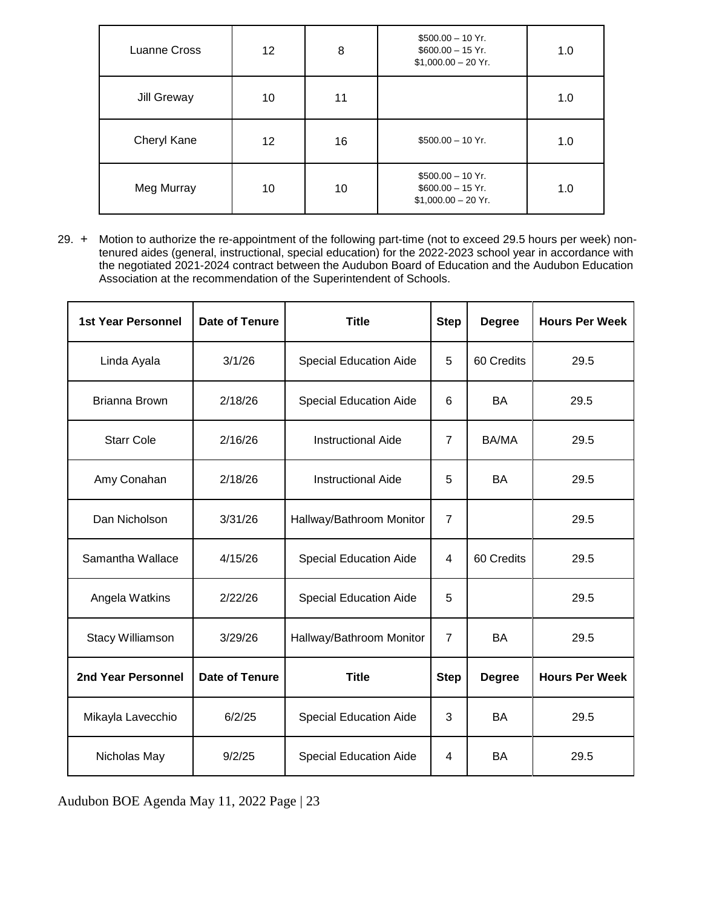| <b>Luanne Cross</b> | 12 <sup>1</sup> | 8  | $$500.00 - 10$ Yr.<br>$$600.00 - 15$ Yr.<br>$$1,000.00 - 20$ Yr. | 1.0 |
|---------------------|-----------------|----|------------------------------------------------------------------|-----|
| Jill Greway         | 10              | 11 |                                                                  | 1.0 |
| Cheryl Kane         | 12              | 16 | $$500.00 - 10$ Yr.                                               | 1.0 |
| Meg Murray          | 10              | 10 | $$500.00 - 10$ Yr.<br>$$600.00 - 15$ Yr.<br>$$1,000.00 - 20$ Yr. | 1.0 |

29. + Motion to authorize the re-appointment of the following part-time (not to exceed 29.5 hours per week) nontenured aides (general, instructional, special education) for the 2022-2023 school year in accordance with the negotiated 2021-2024 contract between the Audubon Board of Education and the Audubon Education Association at the recommendation of the Superintendent of Schools.

| <b>1st Year Personnel</b> | <b>Date of Tenure</b> | <b>Title</b>                  | <b>Step</b>    | <b>Degree</b> | <b>Hours Per Week</b> |
|---------------------------|-----------------------|-------------------------------|----------------|---------------|-----------------------|
| Linda Ayala               | 3/1/26                | <b>Special Education Aide</b> | 5              | 60 Credits    | 29.5                  |
| Brianna Brown             | 2/18/26               | <b>Special Education Aide</b> | 6              | <b>BA</b>     | 29.5                  |
| <b>Starr Cole</b>         | 2/16/26               | <b>Instructional Aide</b>     | $\overline{7}$ | BA/MA         | 29.5                  |
| Amy Conahan               | 2/18/26               | <b>Instructional Aide</b>     | 5              | <b>BA</b>     | 29.5                  |
| Dan Nicholson             | 3/31/26               | Hallway/Bathroom Monitor      | $\overline{7}$ |               | 29.5                  |
| Samantha Wallace          | 4/15/26               | <b>Special Education Aide</b> | 4              | 60 Credits    | 29.5                  |
| Angela Watkins            | 2/22/26               | <b>Special Education Aide</b> | 5              |               | 29.5                  |
| <b>Stacy Williamson</b>   | 3/29/26               | Hallway/Bathroom Monitor      | $\overline{7}$ | <b>BA</b>     | 29.5                  |
| 2nd Year Personnel        | <b>Date of Tenure</b> | <b>Title</b>                  | <b>Step</b>    | <b>Degree</b> | <b>Hours Per Week</b> |
| Mikayla Lavecchio         | 6/2/25                | <b>Special Education Aide</b> | 3              | <b>BA</b>     | 29.5                  |
| Nicholas May              | 9/2/25                | <b>Special Education Aide</b> | 4              | BA            | 29.5                  |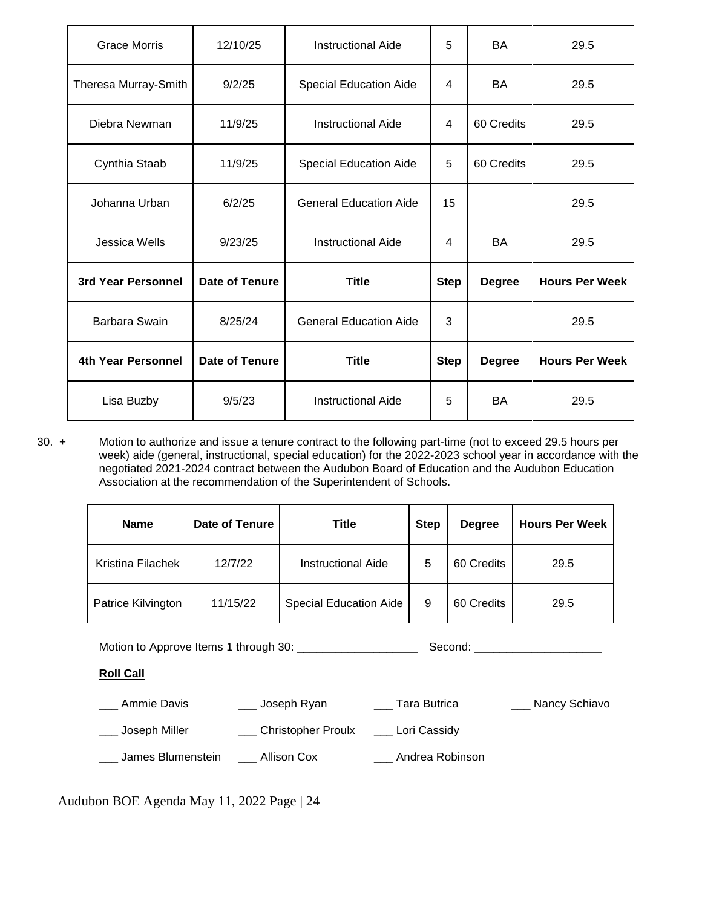| <b>Grace Morris</b>  | 12/10/25              | <b>Instructional Aide</b>     | 5           | <b>BA</b>     | 29.5                  |
|----------------------|-----------------------|-------------------------------|-------------|---------------|-----------------------|
| Theresa Murray-Smith | 9/2/25                | <b>Special Education Aide</b> | 4           | <b>BA</b>     | 29.5                  |
| Diebra Newman        | 11/9/25               | <b>Instructional Aide</b>     | 4           | 60 Credits    | 29.5                  |
| Cynthia Staab        | 11/9/25               | <b>Special Education Aide</b> | 5           | 60 Credits    | 29.5                  |
| Johanna Urban        | 6/2/25                | <b>General Education Aide</b> | 15          |               | 29.5                  |
| Jessica Wells        | 9/23/25               | <b>Instructional Aide</b>     | 4           | <b>BA</b>     | 29.5                  |
| 3rd Year Personnel   | <b>Date of Tenure</b> | <b>Title</b>                  | <b>Step</b> | <b>Degree</b> | <b>Hours Per Week</b> |
| Barbara Swain        | 8/25/24               | <b>General Education Aide</b> | 3           |               | 29.5                  |
| 4th Year Personnel   | <b>Date of Tenure</b> | <b>Title</b>                  | <b>Step</b> | <b>Degree</b> | <b>Hours Per Week</b> |
| Lisa Buzby           | 9/5/23                | <b>Instructional Aide</b>     | 5           | <b>BA</b>     | 29.5                  |

30. + Motion to authorize and issue a tenure contract to the following part-time (not to exceed 29.5 hours per week) aide (general, instructional, special education) for the 2022-2023 school year in accordance with the negotiated 2021-2024 contract between the Audubon Board of Education and the Audubon Education Association at the recommendation of the Superintendent of Schools.

| <b>Name</b>        | Date of Tenure | <b>Title</b>                  | <b>Step</b> | <b>Degree</b> | <b>Hours Per Week</b> |
|--------------------|----------------|-------------------------------|-------------|---------------|-----------------------|
| Kristina Filachek  | 12/7/22        | <b>Instructional Aide</b>     | 5           | 60 Credits    | 29.5                  |
| Patrice Kilvington | 11/15/22       | <b>Special Education Aide</b> | 9           | 60 Credits    | 29.5                  |

Motion to Approve Items 1 through 30: \_\_\_\_\_\_\_\_\_\_\_\_\_\_\_\_\_\_\_ Second: \_\_\_\_\_\_\_\_\_\_\_\_\_\_\_\_\_\_\_\_

# **Roll Call**

| Ammie Davis       | Joseph Ryan        | Tara Butrica    | Nancy Schiavo |
|-------------------|--------------------|-----------------|---------------|
| Joseph Miller     | Christopher Proulx | Lori Cassidy    |               |
| James Blumenstein | Allison Cox        | Andrea Robinson |               |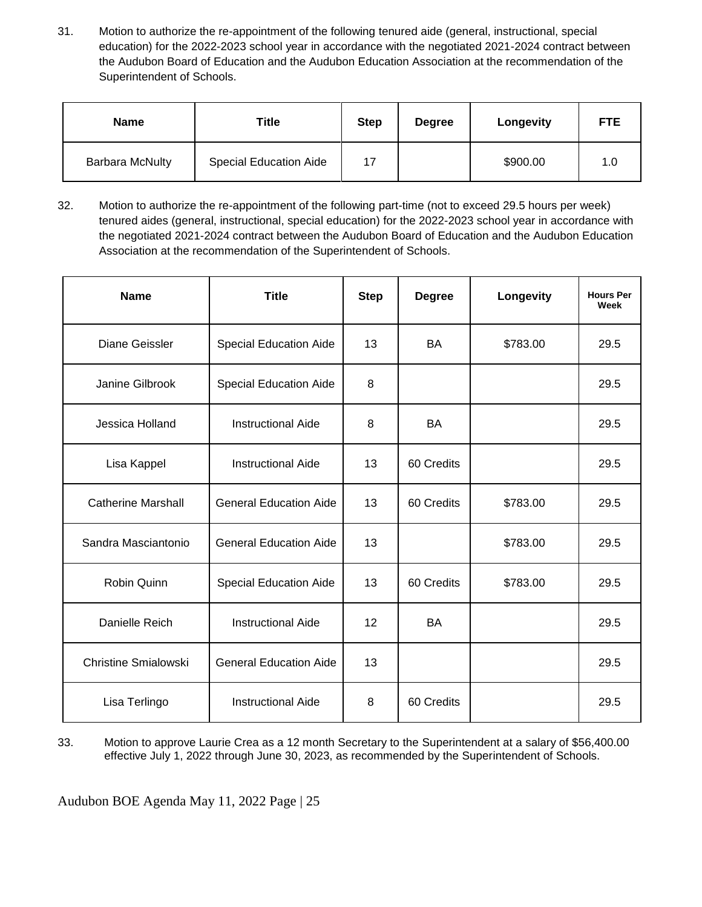31. Motion to authorize the re-appointment of the following tenured aide (general, instructional, special education) for the 2022-2023 school year in accordance with the negotiated 2021-2024 contract between the Audubon Board of Education and the Audubon Education Association at the recommendation of the Superintendent of Schools.

| <b>Name</b>            | Title                         | <b>Step</b> | <b>Degree</b> | Longevity | <b>FTE</b> |
|------------------------|-------------------------------|-------------|---------------|-----------|------------|
| <b>Barbara McNulty</b> | <b>Special Education Aide</b> | 17          |               | \$900.00  | 1.0        |

32. Motion to authorize the re-appointment of the following part-time (not to exceed 29.5 hours per week) tenured aides (general, instructional, special education) for the 2022-2023 school year in accordance with the negotiated 2021-2024 contract between the Audubon Board of Education and the Audubon Education Association at the recommendation of the Superintendent of Schools.

| <b>Name</b>                 | <b>Title</b>                  | <b>Step</b> | <b>Degree</b> | Longevity | <b>Hours Per</b><br>Week |
|-----------------------------|-------------------------------|-------------|---------------|-----------|--------------------------|
| Diane Geissler              | <b>Special Education Aide</b> | 13          | BA            | \$783.00  | 29.5                     |
| Janine Gilbrook             | <b>Special Education Aide</b> | 8           |               |           | 29.5                     |
| Jessica Holland             | <b>Instructional Aide</b>     | 8           | <b>BA</b>     |           | 29.5                     |
| Lisa Kappel                 | <b>Instructional Aide</b>     | 13          | 60 Credits    |           | 29.5                     |
| <b>Catherine Marshall</b>   | <b>General Education Aide</b> | 13          | 60 Credits    | \$783.00  | 29.5                     |
| Sandra Masciantonio         | <b>General Education Aide</b> | 13          |               | \$783.00  | 29.5                     |
| Robin Quinn                 | Special Education Aide        | 13          | 60 Credits    | \$783.00  | 29.5                     |
| Danielle Reich              | <b>Instructional Aide</b>     | 12          | <b>BA</b>     |           | 29.5                     |
| <b>Christine Smialowski</b> | <b>General Education Aide</b> | 13          |               |           | 29.5                     |
| Lisa Terlingo               | <b>Instructional Aide</b>     | 8           | 60 Credits    |           | 29.5                     |

33. Motion to approve Laurie Crea as a 12 month Secretary to the Superintendent at a salary of \$56,400.00 effective July 1, 2022 through June 30, 2023, as recommended by the Superintendent of Schools.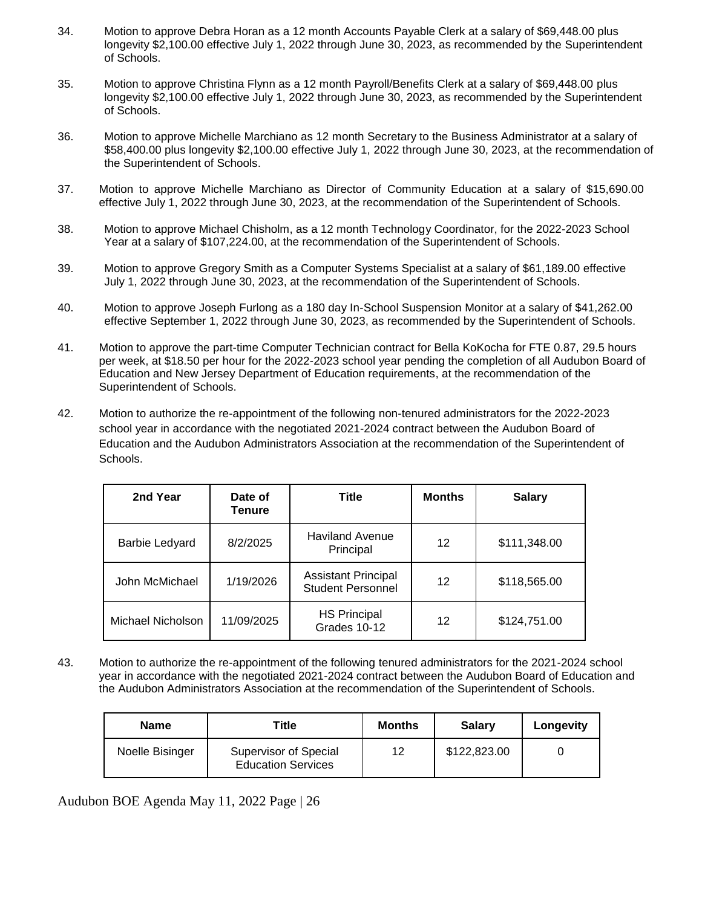- 34. Motion to approve Debra Horan as a 12 month Accounts Payable Clerk at a salary of \$69,448.00 plus longevity \$2,100.00 effective July 1, 2022 through June 30, 2023, as recommended by the Superintendent of Schools.
- 35. Motion to approve Christina Flynn as a 12 month Payroll/Benefits Clerk at a salary of \$69,448.00 plus longevity \$2,100.00 effective July 1, 2022 through June 30, 2023, as recommended by the Superintendent of Schools.
- 36. Motion to approve Michelle Marchiano as 12 month Secretary to the Business Administrator at a salary of \$58,400.00 plus longevity \$2,100.00 effective July 1, 2022 through June 30, 2023, at the recommendation of the Superintendent of Schools.
- 37. Motion to approve Michelle Marchiano as Director of Community Education at a salary of \$15,690.00 effective July 1, 2022 through June 30, 2023, at the recommendation of the Superintendent of Schools.
- 38. Motion to approve Michael Chisholm, as a 12 month Technology Coordinator, for the 2022-2023 School Year at a salary of \$107,224.00, at the recommendation of the Superintendent of Schools.
- 39. Motion to approve Gregory Smith as a Computer Systems Specialist at a salary of \$61,189.00 effective July 1, 2022 through June 30, 2023, at the recommendation of the Superintendent of Schools.
- 40. Motion to approve Joseph Furlong as a 180 day In-School Suspension Monitor at a salary of \$41,262.00 effective September 1, 2022 through June 30, 2023, as recommended by the Superintendent of Schools.
- 41. Motion to approve the part-time Computer Technician contract for Bella KoKocha for FTE 0.87, 29.5 hours per week, at \$18.50 per hour for the 2022-2023 school year pending the completion of all Audubon Board of Education and New Jersey Department of Education requirements, at the recommendation of the Superintendent of Schools.
- 42. Motion to authorize the re-appointment of the following non-tenured administrators for the 2022-2023 school year in accordance with the negotiated 2021-2024 contract between the Audubon Board of Education and the Audubon Administrators Association at the recommendation of the Superintendent of Schools.

| 2nd Year          | Date of<br>Tenure | Title                                                  | <b>Months</b> | <b>Salary</b> |
|-------------------|-------------------|--------------------------------------------------------|---------------|---------------|
| Barbie Ledyard    | 8/2/2025          | <b>Haviland Avenue</b><br>Principal                    | 12            | \$111,348.00  |
| John McMichael    | 1/19/2026         | <b>Assistant Principal</b><br><b>Student Personnel</b> | 12            | \$118,565.00  |
| Michael Nicholson | 11/09/2025        | <b>HS Principal</b><br>Grades 10-12                    | 12            | \$124,751.00  |

43. Motion to authorize the re-appointment of the following tenured administrators for the 2021-2024 school year in accordance with the negotiated 2021-2024 contract between the Audubon Board of Education and the Audubon Administrators Association at the recommendation of the Superintendent of Schools.

| <b>Name</b>     | Title                                                     | <b>Months</b> | <b>Salary</b> | Longevity |
|-----------------|-----------------------------------------------------------|---------------|---------------|-----------|
| Noelle Bisinger | <b>Supervisor of Special</b><br><b>Education Services</b> | 12            | \$122,823.00  |           |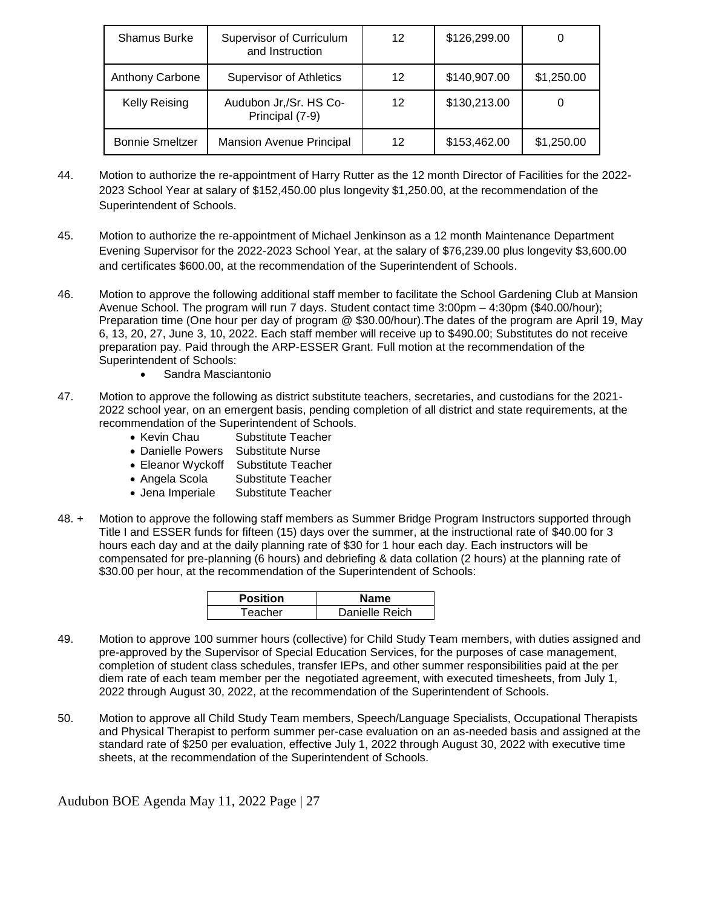| <b>Shamus Burke</b>    | <b>Supervisor of Curriculum</b><br>and Instruction | 12 | \$126,299.00 |            |
|------------------------|----------------------------------------------------|----|--------------|------------|
| Anthony Carbone        | <b>Supervisor of Athletics</b>                     | 12 | \$140,907.00 | \$1,250.00 |
| <b>Kelly Reising</b>   | Audubon Jr,/Sr. HS Co-<br>Principal (7-9)          | 12 | \$130,213.00 |            |
| <b>Bonnie Smeltzer</b> | <b>Mansion Avenue Principal</b>                    | 12 | \$153,462.00 | \$1,250.00 |

- 44. Motion to authorize the re-appointment of Harry Rutter as the 12 month Director of Facilities for the 2022- 2023 School Year at salary of \$152,450.00 plus longevity \$1,250.00, at the recommendation of the Superintendent of Schools.
- 45. Motion to authorize the re-appointment of Michael Jenkinson as a 12 month Maintenance Department Evening Supervisor for the 2022-2023 School Year, at the salary of \$76,239.00 plus longevity \$3,600.00 and certificates \$600.00, at the recommendation of the Superintendent of Schools.
- 46. Motion to approve the following additional staff member to facilitate the School Gardening Club at Mansion Avenue School. The program will run 7 days. Student contact time 3:00pm – 4:30pm (\$40.00/hour); Preparation time (One hour per day of program @ \$30.00/hour).The dates of the program are April 19, May 6, 13, 20, 27, June 3, 10, 2022. Each staff member will receive up to \$490.00; Substitutes do not receive preparation pay. Paid through the ARP-ESSER Grant. Full motion at the recommendation of the Superintendent of Schools:
	- Sandra Masciantonio
- 47. Motion to approve the following as district substitute teachers, secretaries, and custodians for the 2021- 2022 school year, on an emergent basis, pending completion of all district and state requirements, at the recommendation of the Superintendent of Schools.
	- Kevin Chau Substitute Teacher
	- Danielle Powers Substitute Nurse
	- Eleanor Wyckoff Substitute Teacher
	- Angela Scola Substitute Teacher
	- Jena Imperiale Substitute Teacher
- 48. + Motion to approve the following staff members as Summer Bridge Program Instructors supported through Title I and ESSER funds for fifteen (15) days over the summer, at the instructional rate of \$40.00 for 3 hours each day and at the daily planning rate of \$30 for 1 hour each day. Each instructors will be compensated for pre-planning (6 hours) and debriefing & data collation (2 hours) at the planning rate of \$30.00 per hour, at the recommendation of the Superintendent of Schools:

| <b>Position</b> | Name           |
|-----------------|----------------|
| Teacher         | Danielle Reich |

- 49. Motion to approve 100 summer hours (collective) for Child Study Team members, with duties assigned and pre-approved by the Supervisor of Special Education Services, for the purposes of case management, completion of student class schedules, transfer IEPs, and other summer responsibilities paid at the per diem rate of each team member per the negotiated agreement, with executed timesheets, from July 1, 2022 through August 30, 2022, at the recommendation of the Superintendent of Schools.
- 50. Motion to approve all Child Study Team members, Speech/Language Specialists, Occupational Therapists and Physical Therapist to perform summer per-case evaluation on an as-needed basis and assigned at the standard rate of \$250 per evaluation, effective July 1, 2022 through August 30, 2022 with executive time sheets, at the recommendation of the Superintendent of Schools.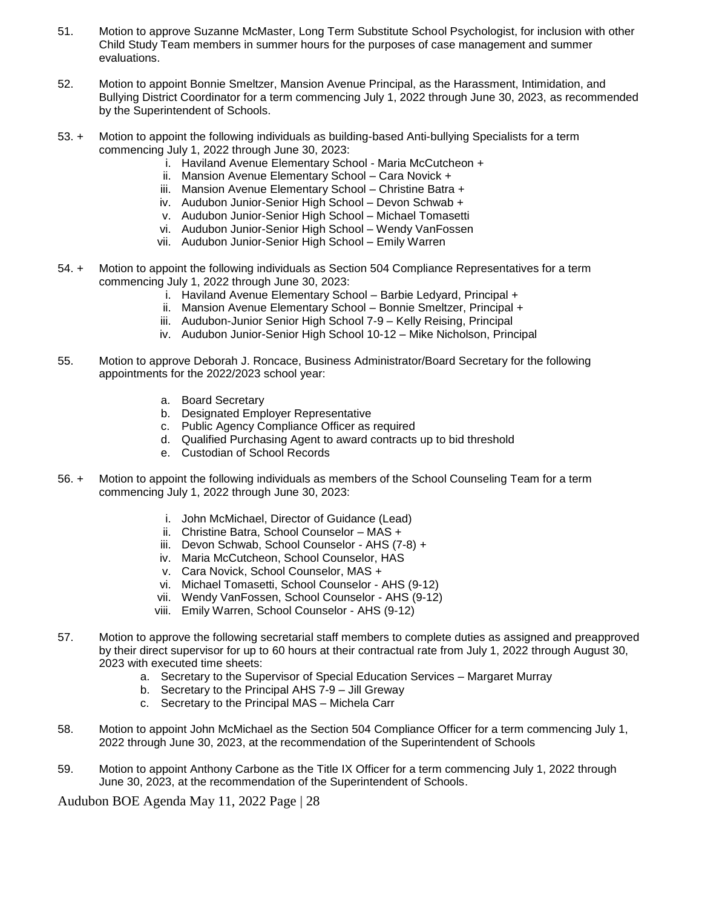- 51. Motion to approve Suzanne McMaster, Long Term Substitute School Psychologist, for inclusion with other Child Study Team members in summer hours for the purposes of case management and summer evaluations.
- 52. Motion to appoint Bonnie Smeltzer, Mansion Avenue Principal, as the Harassment, Intimidation, and Bullying District Coordinator for a term commencing July 1, 2022 through June 30, 2023, as recommended by the Superintendent of Schools.
- 53. + Motion to appoint the following individuals as building-based Anti-bullying Specialists for a term commencing July 1, 2022 through June 30, 2023:
	- i. Haviland Avenue Elementary School Maria McCutcheon +
	- ii. Mansion Avenue Elementary School Cara Novick +
	- iii. Mansion Avenue Elementary School Christine Batra +
	- iv. Audubon Junior-Senior High School Devon Schwab +
	- v. Audubon Junior-Senior High School Michael Tomasetti
	- vi. Audubon Junior-Senior High School Wendy VanFossen
	- vii. Audubon Junior-Senior High School Emily Warren
- 54. + Motion to appoint the following individuals as Section 504 Compliance Representatives for a term commencing July 1, 2022 through June 30, 2023:
	- i. Haviland Avenue Elementary School Barbie Ledyard, Principal +
	- ii. Mansion Avenue Elementary School Bonnie Smeltzer, Principal +
	- iii. Audubon-Junior Senior High School 7-9 Kelly Reising, Principal
	- iv. Audubon Junior-Senior High School 10-12 Mike Nicholson, Principal
- 55. Motion to approve Deborah J. Roncace, Business Administrator/Board Secretary for the following appointments for the 2022/2023 school year:
	- a. Board Secretary
	- b. Designated Employer Representative
	- c. Public Agency Compliance Officer as required
	- d. Qualified Purchasing Agent to award contracts up to bid threshold
	- e. Custodian of School Records
- 56. + Motion to appoint the following individuals as members of the School Counseling Team for a term commencing July 1, 2022 through June 30, 2023:
	- i. John McMichael, Director of Guidance (Lead)
	- ii. Christine Batra, School Counselor MAS +
	- iii. Devon Schwab, School Counselor AHS (7-8) +
	- iv. Maria McCutcheon, School Counselor, HAS
	- v. Cara Novick, School Counselor, MAS +
	- vi. Michael Tomasetti, School Counselor AHS (9-12)
	- vii. Wendy VanFossen, School Counselor AHS (9-12)
	- viii. Emily Warren, School Counselor AHS (9-12)
- 57. Motion to approve the following secretarial staff members to complete duties as assigned and preapproved by their direct supervisor for up to 60 hours at their contractual rate from July 1, 2022 through August 30, 2023 with executed time sheets:
	- a. Secretary to the Supervisor of Special Education Services Margaret Murray
	- b. Secretary to the Principal AHS 7-9 Jill Greway
	- c. Secretary to the Principal MAS Michela Carr
- 58. Motion to appoint John McMichael as the Section 504 Compliance Officer for a term commencing July 1, 2022 through June 30, 2023, at the recommendation of the Superintendent of Schools
- 59. Motion to appoint Anthony Carbone as the Title IX Officer for a term commencing July 1, 2022 through June 30, 2023, at the recommendation of the Superintendent of Schools.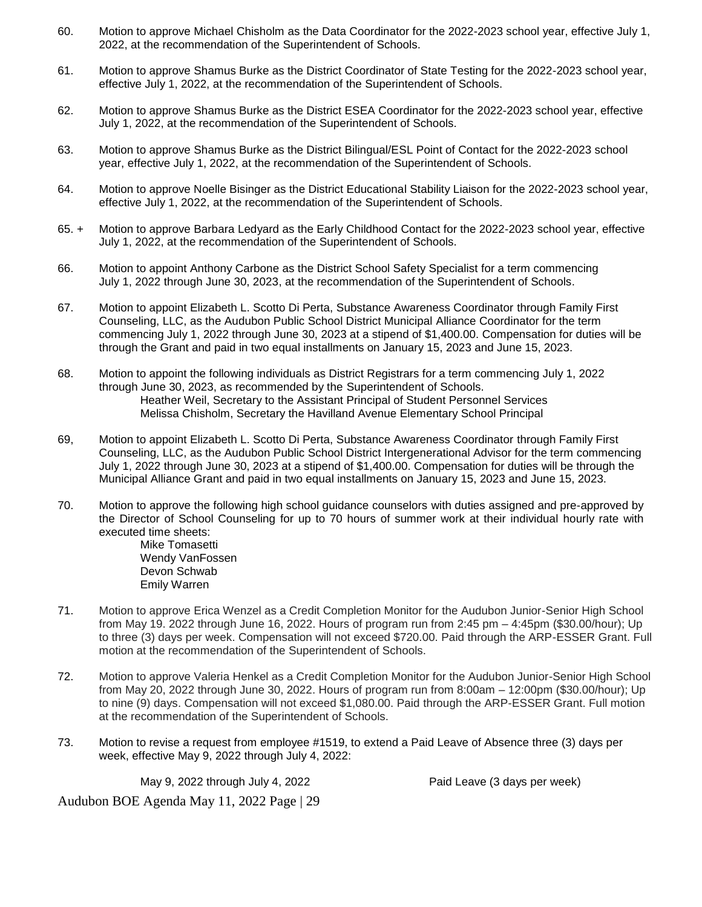- 60. Motion to approve Michael Chisholm as the Data Coordinator for the 2022-2023 school year, effective July 1, 2022, at the recommendation of the Superintendent of Schools.
- 61. Motion to approve Shamus Burke as the District Coordinator of State Testing for the 2022-2023 school year, effective July 1, 2022, at the recommendation of the Superintendent of Schools.
- 62. Motion to approve Shamus Burke as the District ESEA Coordinator for the 2022-2023 school year, effective July 1, 2022, at the recommendation of the Superintendent of Schools.
- 63. Motion to approve Shamus Burke as the District Bilingual/ESL Point of Contact for the 2022-2023 school year, effective July 1, 2022, at the recommendation of the Superintendent of Schools.
- 64. Motion to approve Noelle Bisinger as the District Educational Stability Liaison for the 2022-2023 school year, effective July 1, 2022, at the recommendation of the Superintendent of Schools.
- 65. + Motion to approve Barbara Ledyard as the Early Childhood Contact for the 2022-2023 school year, effective July 1, 2022, at the recommendation of the Superintendent of Schools.
- 66. Motion to appoint Anthony Carbone as the District School Safety Specialist for a term commencing July 1, 2022 through June 30, 2023, at the recommendation of the Superintendent of Schools.
- 67. Motion to appoint Elizabeth L. Scotto Di Perta, Substance Awareness Coordinator through Family First Counseling, LLC, as the Audubon Public School District Municipal Alliance Coordinator for the term commencing July 1, 2022 through June 30, 2023 at a stipend of \$1,400.00. Compensation for duties will be through the Grant and paid in two equal installments on January 15, 2023 and June 15, 2023.
- 68. Motion to appoint the following individuals as District Registrars for a term commencing July 1, 2022 through June 30, 2023, as recommended by the Superintendent of Schools. Heather Weil, Secretary to the Assistant Principal of Student Personnel Services Melissa Chisholm, Secretary the Havilland Avenue Elementary School Principal
- 69, Motion to appoint Elizabeth L. Scotto Di Perta, Substance Awareness Coordinator through Family First Counseling, LLC, as the Audubon Public School District Intergenerational Advisor for the term commencing July 1, 2022 through June 30, 2023 at a stipend of \$1,400.00. Compensation for duties will be through the Municipal Alliance Grant and paid in two equal installments on January 15, 2023 and June 15, 2023.
- 70. Motion to approve the following high school guidance counselors with duties assigned and pre-approved by the Director of School Counseling for up to 70 hours of summer work at their individual hourly rate with executed time sheets:

Mike Tomasetti Wendy VanFossen Devon Schwab Emily Warren

- 71. Motion to approve Erica Wenzel as a Credit Completion Monitor for the Audubon Junior-Senior High School from May 19. 2022 through June 16, 2022. Hours of program run from 2:45 pm – 4:45pm (\$30.00/hour); Up to three (3) days per week. Compensation will not exceed \$720.00. Paid through the ARP-ESSER Grant. Full motion at the recommendation of the Superintendent of Schools.
- 72. Motion to approve Valeria Henkel as a Credit Completion Monitor for the Audubon Junior-Senior High School from May 20, 2022 through June 30, 2022. Hours of program run from 8:00am – 12:00pm (\$30.00/hour); Up to nine (9) days. Compensation will not exceed \$1,080.00. Paid through the ARP-ESSER Grant. Full motion at the recommendation of the Superintendent of Schools.
- 73. Motion to revise a request from employee #1519, to extend a Paid Leave of Absence three (3) days per week, effective May 9, 2022 through July 4, 2022:

May 9, 2022 through July 4, 2022 **Paid Leave (3 days per week)**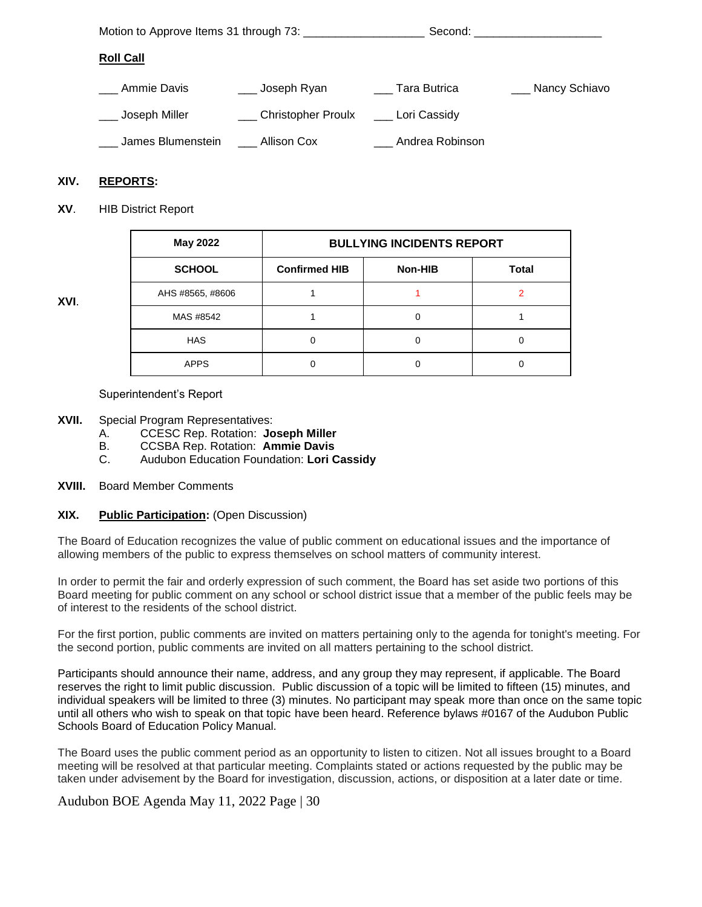|                   |                        |                 | Second: _______________________ |
|-------------------|------------------------|-----------------|---------------------------------|
| <b>Roll Call</b>  |                        |                 |                                 |
| Ammie Davis       | __ Joseph Ryan         | Tara Butrica    | Nancy Schiavo                   |
| Joseph Miller     | ___ Christopher Proulx | Lori Cassidy    |                                 |
| James Blumenstein | Allison Cox            | Andrea Robinson |                                 |

# **XIV. REPORTS:**

**XVI**.

**XV**. HIB District Report

| May 2022         | <b>BULLYING INCIDENTS REPORT</b> |         |              |  |  |
|------------------|----------------------------------|---------|--------------|--|--|
| <b>SCHOOL</b>    | <b>Confirmed HIB</b>             | Non-HIB | <b>Total</b> |  |  |
| AHS #8565, #8606 |                                  |         |              |  |  |
| MAS #8542        |                                  | 0       |              |  |  |
| <b>HAS</b>       |                                  | 0       |              |  |  |
| <b>APPS</b>      |                                  | 0       |              |  |  |

Superintendent's Report

- **XVII.** Special Program Representatives:
	- A. CCESC Rep. Rotation: **Joseph Miller**
	- B. CCSBA Rep. Rotation: **Ammie Davis**
	- C. Audubon Education Foundation: **Lori Cassidy**
- **XVIII.** Board Member Comments

#### **XIX. Public Participation:** (Open Discussion)

The Board of Education recognizes the value of public comment on educational issues and the importance of allowing members of the public to express themselves on school matters of community interest.

In order to permit the fair and orderly expression of such comment, the Board has set aside two portions of this Board meeting for public comment on any school or school district issue that a member of the public feels may be of interest to the residents of the school district.

For the first portion, public comments are invited on matters pertaining only to the agenda for tonight's meeting. For the second portion, public comments are invited on all matters pertaining to the school district.

Participants should announce their name, address, and any group they may represent, if applicable. The Board reserves the right to limit public discussion. Public discussion of a topic will be limited to fifteen (15) minutes, and individual speakers will be limited to three (3) minutes. No participant may speak more than once on the same topic until all others who wish to speak on that topic have been heard. Reference bylaws #0167 of the Audubon Public Schools Board of Education Policy Manual.

The Board uses the public comment period as an opportunity to listen to citizen. Not all issues brought to a Board meeting will be resolved at that particular meeting. Complaints stated or actions requested by the public may be taken under advisement by the Board for investigation, discussion, actions, or disposition at a later date or time.